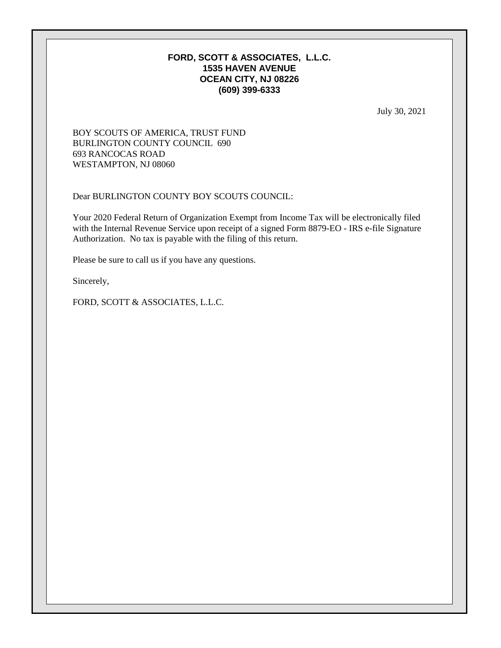# **FORD, SCOTT & ASSOCIATES, L.L.C. 1535 HAVEN AVENUE OCEAN CITY, NJ 08226 (609) 399-6333**

July 30, 2021

# BOY SCOUTS OF AMERICA, TRUST FUND BURLINGTON COUNTY COUNCIL 690 693 RANCOCAS ROAD WESTAMPTON, NJ 08060

Dear BURLINGTON COUNTY BOY SCOUTS COUNCIL:

Your 2020 Federal Return of Organization Exempt from Income Tax will be electronically filed with the Internal Revenue Service upon receipt of a signed Form 8879-EO - IRS e-file Signature Authorization. No tax is payable with the filing of this return.

Please be sure to call us if you have any questions.

Sincerely,

FORD, SCOTT & ASSOCIATES, L.L.C.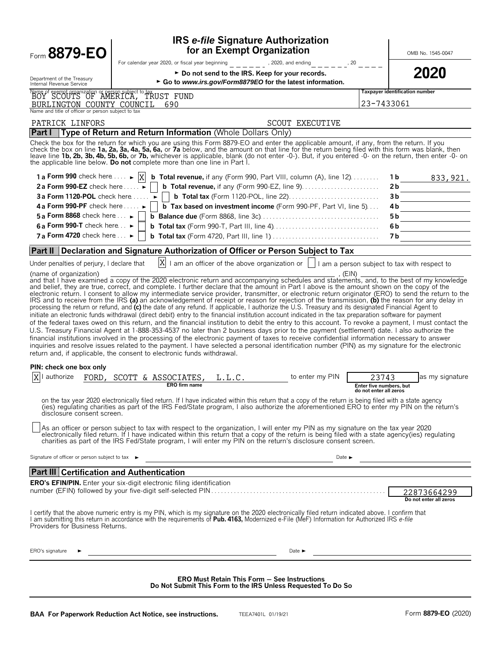| Form 8879-EO                                                                              | <b>IRS e-file Signature Authorization</b><br>for an Exempt Organization                                                                                                                                                                                                                                                                                                                                                                                                                                                                                                                                                                                                                                                                                                                                                                                                                                                                                                                                                                                                                                                                                                                                                                                                                                                                                                                                                                                                                                                                                                                                                                                                                                                                                                                                                                                                                                                                       |                                                            | OMB No. 1545-0047                     |
|-------------------------------------------------------------------------------------------|-----------------------------------------------------------------------------------------------------------------------------------------------------------------------------------------------------------------------------------------------------------------------------------------------------------------------------------------------------------------------------------------------------------------------------------------------------------------------------------------------------------------------------------------------------------------------------------------------------------------------------------------------------------------------------------------------------------------------------------------------------------------------------------------------------------------------------------------------------------------------------------------------------------------------------------------------------------------------------------------------------------------------------------------------------------------------------------------------------------------------------------------------------------------------------------------------------------------------------------------------------------------------------------------------------------------------------------------------------------------------------------------------------------------------------------------------------------------------------------------------------------------------------------------------------------------------------------------------------------------------------------------------------------------------------------------------------------------------------------------------------------------------------------------------------------------------------------------------------------------------------------------------------------------------------------------------|------------------------------------------------------------|---------------------------------------|
|                                                                                           | For calendar year 2020, or fiscal year beginning<br>$-$ - $-$ , 2020, and ending<br>$    ^{1,20}$ $ \cdot$                                                                                                                                                                                                                                                                                                                                                                                                                                                                                                                                                                                                                                                                                                                                                                                                                                                                                                                                                                                                                                                                                                                                                                                                                                                                                                                                                                                                                                                                                                                                                                                                                                                                                                                                                                                                                                    |                                                            |                                       |
| Department of the Treasury                                                                | ► Do not send to the IRS. Keep for your records.                                                                                                                                                                                                                                                                                                                                                                                                                                                                                                                                                                                                                                                                                                                                                                                                                                                                                                                                                                                                                                                                                                                                                                                                                                                                                                                                                                                                                                                                                                                                                                                                                                                                                                                                                                                                                                                                                              |                                                            | 2020                                  |
| Internal Revenue Service                                                                  | ► Go to www.irs.gov/Form8879EO for the latest information.                                                                                                                                                                                                                                                                                                                                                                                                                                                                                                                                                                                                                                                                                                                                                                                                                                                                                                                                                                                                                                                                                                                                                                                                                                                                                                                                                                                                                                                                                                                                                                                                                                                                                                                                                                                                                                                                                    |                                                            | Taxpayer identification number        |
| Name of exempt organization or person subject to tax<br>BOY SCOUTS OF AMERICA, TRUST FUND |                                                                                                                                                                                                                                                                                                                                                                                                                                                                                                                                                                                                                                                                                                                                                                                                                                                                                                                                                                                                                                                                                                                                                                                                                                                                                                                                                                                                                                                                                                                                                                                                                                                                                                                                                                                                                                                                                                                                               |                                                            |                                       |
| BURLINGTON COUNTY COUNCIL<br>Name and title of officer or person subject to tax           | 690                                                                                                                                                                                                                                                                                                                                                                                                                                                                                                                                                                                                                                                                                                                                                                                                                                                                                                                                                                                                                                                                                                                                                                                                                                                                                                                                                                                                                                                                                                                                                                                                                                                                                                                                                                                                                                                                                                                                           | 23-7433061                                                 |                                       |
| PATRICK LINFORS                                                                           | <b>SCOUT EXECUTIVE</b>                                                                                                                                                                                                                                                                                                                                                                                                                                                                                                                                                                                                                                                                                                                                                                                                                                                                                                                                                                                                                                                                                                                                                                                                                                                                                                                                                                                                                                                                                                                                                                                                                                                                                                                                                                                                                                                                                                                        |                                                            |                                       |
| <b>Part I</b>                                                                             | Type of Return and Return Information (Whole Dollars Only)                                                                                                                                                                                                                                                                                                                                                                                                                                                                                                                                                                                                                                                                                                                                                                                                                                                                                                                                                                                                                                                                                                                                                                                                                                                                                                                                                                                                                                                                                                                                                                                                                                                                                                                                                                                                                                                                                    |                                                            |                                       |
|                                                                                           | Check the box for the return for which you are using this Form 8879-EO and enter the applicable amount, if any, from the return. If you<br>check the box on line 1a, 2a, 3a, 4a, 5a, 6a, or 7a below, and the amount on that line for the return being filed with this form was blank, then<br>leave line 1b, 2b, 3b, 4b, 5b, 6b, or 7b, whichever is applicable, blank (do not enter -0-). But, if you entered -0- on the return, then enter -0- on<br>the applicable line below. Do not complete more than one line in Part I.                                                                                                                                                                                                                                                                                                                                                                                                                                                                                                                                                                                                                                                                                                                                                                                                                                                                                                                                                                                                                                                                                                                                                                                                                                                                                                                                                                                                              |                                                            |                                       |
| 1 a Form 990 check here $\ldots$ $\triangleright$ $ X $                                   | <b>b</b> Total revenue, if any (Form 990, Part VIII, column (A), line $12$ )                                                                                                                                                                                                                                                                                                                                                                                                                                                                                                                                                                                                                                                                                                                                                                                                                                                                                                                                                                                                                                                                                                                                                                                                                                                                                                                                                                                                                                                                                                                                                                                                                                                                                                                                                                                                                                                                  |                                                            | 1 <b>b</b> $833,921$ .                |
| 2a Form 990-EZ check here $\dots$ $\blacktriangleright$                                   |                                                                                                                                                                                                                                                                                                                                                                                                                                                                                                                                                                                                                                                                                                                                                                                                                                                                                                                                                                                                                                                                                                                                                                                                                                                                                                                                                                                                                                                                                                                                                                                                                                                                                                                                                                                                                                                                                                                                               |                                                            | 2 <sub>b</sub>                        |
| 3a Form 1120-POL check here $\dots$ $\blacktriangleright$                                 | <b>b</b> Total tax (Form 1120-POL, line 22)                                                                                                                                                                                                                                                                                                                                                                                                                                                                                                                                                                                                                                                                                                                                                                                                                                                                                                                                                                                                                                                                                                                                                                                                                                                                                                                                                                                                                                                                                                                                                                                                                                                                                                                                                                                                                                                                                                   |                                                            | 3b                                    |
| 4 a Form 990-PF check here $\dots$                                                        | <b>b</b> Tax based on investment income (Form 990-PF, Part VI, line 5)                                                                                                                                                                                                                                                                                                                                                                                                                                                                                                                                                                                                                                                                                                                                                                                                                                                                                                                                                                                                                                                                                                                                                                                                                                                                                                                                                                                                                                                                                                                                                                                                                                                                                                                                                                                                                                                                        |                                                            | 4 b                                   |
| 5 a Form 8868 check here $\ldots \blacktriangleright$                                     |                                                                                                                                                                                                                                                                                                                                                                                                                                                                                                                                                                                                                                                                                                                                                                                                                                                                                                                                                                                                                                                                                                                                                                                                                                                                                                                                                                                                                                                                                                                                                                                                                                                                                                                                                                                                                                                                                                                                               |                                                            | 5 b                                   |
| 6 a Form 990-T check here $\ldots$                                                        |                                                                                                                                                                                                                                                                                                                                                                                                                                                                                                                                                                                                                                                                                                                                                                                                                                                                                                                                                                                                                                                                                                                                                                                                                                                                                                                                                                                                                                                                                                                                                                                                                                                                                                                                                                                                                                                                                                                                               |                                                            | 6b                                    |
| 7 a Form 4720 check here $\ldots \blacktriangleright$                                     |                                                                                                                                                                                                                                                                                                                                                                                                                                                                                                                                                                                                                                                                                                                                                                                                                                                                                                                                                                                                                                                                                                                                                                                                                                                                                                                                                                                                                                                                                                                                                                                                                                                                                                                                                                                                                                                                                                                                               |                                                            | 7 b                                   |
|                                                                                           | <b>Part II</b> Declaration and Signature Authorization of Officer or Person Subject to Tax                                                                                                                                                                                                                                                                                                                                                                                                                                                                                                                                                                                                                                                                                                                                                                                                                                                                                                                                                                                                                                                                                                                                                                                                                                                                                                                                                                                                                                                                                                                                                                                                                                                                                                                                                                                                                                                    |                                                            |                                       |
| Under penalties of periury. I declare that                                                | X<br>I am an officer of the above organization or     I am a person subject to tax with respect to                                                                                                                                                                                                                                                                                                                                                                                                                                                                                                                                                                                                                                                                                                                                                                                                                                                                                                                                                                                                                                                                                                                                                                                                                                                                                                                                                                                                                                                                                                                                                                                                                                                                                                                                                                                                                                            |                                                            |                                       |
| PIN: check one box only<br>authorize<br>FORD.<br>disclosure consent screen.               | IRS and to receive from the IRS (a) an acknowledgement of receipt or reason for rejection of the transmission, (b) the reason for any delay in<br>processing the return or refund, and (c) the date of any refund. If applicable, I authorize the U.S. Treasury and its designated Financial Agent to<br>initiate an electronic funds withdrawal (direct debit) entry to the financial institution account indicated in the tax preparation software for payment<br>of the federal taxes owed on this return, and the financial institution to debit the entry to this account. To revoke a payment, I must contact the<br>U.S. Treasury Financial Agent at 1-888-353-4537 no later than 2 business days prior to the payment (settlement) date. I also authorize the<br>financial institutions involved in the processing of the electronic payment of taxes to receive confidential information necessary to answer<br>inquiries and resolve issues related to the payment. I have selected a personal identification number (PIN) as my signature for the electronic<br>return and, if applicable, the consent to electronic funds withdrawal.<br>SCOTT & ASSOCIATES,<br>to enter my PIN<br>L.L.C.<br><b>ERO</b> firm name<br>on the tax year 2020 electronically filed return. If I have indicated within this return that a copy of the return is being filed with a state agency<br>(ies) regulating charities as part of the IRS Fed/State program, I also authorize the aforementioned ERO to enter my PIN on the return's<br>As an officer or person subject to tax with respect to the organization, I will enter my PIN as my signature on the tax year 2020<br>electronically filed return. If I have indicated within this return that a copy of the return is being filed with a state agency(ies) regulating<br>charities as part of the IRS Fed/State program, I will enter my PIN on the return's disclosure consent screen. | 23743<br>Enter five numbers, but<br>do not enter all zeros | as my signature                       |
| Signature of officer or person subject to tax ►                                           |                                                                                                                                                                                                                                                                                                                                                                                                                                                                                                                                                                                                                                                                                                                                                                                                                                                                                                                                                                                                                                                                                                                                                                                                                                                                                                                                                                                                                                                                                                                                                                                                                                                                                                                                                                                                                                                                                                                                               |                                                            |                                       |
| Part III Certification and Authentication                                                 | $\begin{tabular}{c} \textbf{Date} & \textbf{Date} \\ \hline \end{tabular}$                                                                                                                                                                                                                                                                                                                                                                                                                                                                                                                                                                                                                                                                                                                                                                                                                                                                                                                                                                                                                                                                                                                                                                                                                                                                                                                                                                                                                                                                                                                                                                                                                                                                                                                                                                                                                                                                    |                                                            |                                       |
|                                                                                           | ERO's EFIN/PIN. Enter your six-digit electronic filing identification                                                                                                                                                                                                                                                                                                                                                                                                                                                                                                                                                                                                                                                                                                                                                                                                                                                                                                                                                                                                                                                                                                                                                                                                                                                                                                                                                                                                                                                                                                                                                                                                                                                                                                                                                                                                                                                                         |                                                            |                                       |
|                                                                                           |                                                                                                                                                                                                                                                                                                                                                                                                                                                                                                                                                                                                                                                                                                                                                                                                                                                                                                                                                                                                                                                                                                                                                                                                                                                                                                                                                                                                                                                                                                                                                                                                                                                                                                                                                                                                                                                                                                                                               |                                                            | 22873664299<br>Do not enter all zeros |
| Providers for Business Returns.                                                           | I certify that the above numeric entry is my PIN, which is my signature on the 2020 electronically filed return indicated above. I confirm that<br>I am submitting this return in accordance with the requirements of Pub. 4163, Modernized e-File (MeF) Information for Authorized IRS e-file                                                                                                                                                                                                                                                                                                                                                                                                                                                                                                                                                                                                                                                                                                                                                                                                                                                                                                                                                                                                                                                                                                                                                                                                                                                                                                                                                                                                                                                                                                                                                                                                                                                |                                                            |                                       |
| ERO's signature                                                                           | Date $\blacktriangleright$                                                                                                                                                                                                                                                                                                                                                                                                                                                                                                                                                                                                                                                                                                                                                                                                                                                                                                                                                                                                                                                                                                                                                                                                                                                                                                                                                                                                                                                                                                                                                                                                                                                                                                                                                                                                                                                                                                                    |                                                            |                                       |
|                                                                                           | <b>ERO Must Retain This Form - See Instructions</b><br>Do Not Submit This Form to the IRS Unless Requested To Do So                                                                                                                                                                                                                                                                                                                                                                                                                                                                                                                                                                                                                                                                                                                                                                                                                                                                                                                                                                                                                                                                                                                                                                                                                                                                                                                                                                                                                                                                                                                                                                                                                                                                                                                                                                                                                           |                                                            |                                       |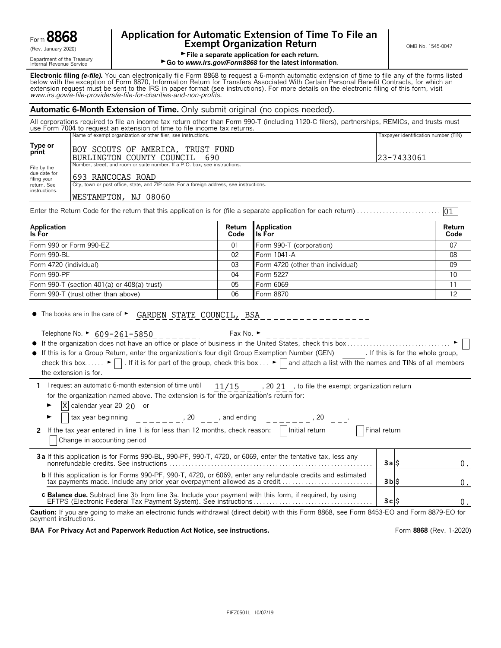| Form 886<br>റ |  |
|---------------|--|
|               |  |

Department of the Treasury<br>Internal Revenue Service

# **Application for Automatic Extension of Time To File an Form B8668 Exempt Organization Return** CRET **EXEMPT ON B No. 1545-0047**

01

File a separate application for each return.

► Go to *www.irs.gov/Form8868* for the latest information.

**Electronic filing** *(e-file).* You can electronically file Form 8868 to request a 6-month automatic extension of time to file any of the forms listed below with the exception of Form 8870, Information Return for Transfers Associated With Certain Personal Benefit Contracts, for which an extension request must be sent to the IRS in paper format (see instructions). For more details on the electronic filing of this form, visit *www.irs.gov/e*-*file*-*providers/e-file-for-charities-and-non-profits*.

#### **Automatic 6-Month Extension of Time.** Only submit original (no copies needed).

All corporations required to file an income tax return other than Form 990-T (including 1120-C filers), partnerships, REMICs, and trusts must use Form 7004 to request an extension of time to file income tax returns. Name of exempt organization or other filer, see instructions. The material or other filer, see instructions.

| Type or<br>print                           | BOY SCOUTS OF AMERICA, TRUST FUND<br>BURLINGTON COUNTY COUNCIL<br>690                                            | 123-7433061 |
|--------------------------------------------|------------------------------------------------------------------------------------------------------------------|-------------|
| File by the<br>due date for<br>filing your | Number, street, and room or suite number. If a P.O. box, see instructions.<br>693 RANCOCAS ROAD                  |             |
| return. See<br>instructions.               | City, town or post office, state, and ZIP code. For a foreign address, see instructions.<br>WESTAMPTON, NJ 08060 |             |

Enter the Return Code for the return that this application is for (file a separate application for each return). . . . . . . . . . . . . . . . . . . . . . . . . . .

| <b>Application</b><br>Is For                  | Code | <b>Return Application</b><br><b>Ils For</b> | Return<br>Code  |
|-----------------------------------------------|------|---------------------------------------------|-----------------|
| Form 990 or Form 990-EZ                       | 01   | Form 990-T (corporation)                    | 07              |
| Form 990-BL                                   | 02   | Form 1041-A                                 | 08              |
| Form 4720 (individual)                        | 03   | Form 4720 (other than individual)           | 09              |
| Form 990-PF                                   | 04   | Form 5227                                   | 10 <sup>1</sup> |
| Form 990-T (section 401(a) or $408(a)$ trust) | 05   | Form 6069                                   |                 |
| Form 990-T (trust other than above)           | 06   | Form 8870                                   | 12              |

 $\bullet$  The books are in the care of  $\blacktriangleright$ GARDEN STATE COUNCIL, BSA

Telephone No. ►  $\underline{609-261-5850}$  \_ \_ \_ \_ \_ \_ \_ \_ \_ Fax No. ►

the extension is for.

| • If this is for a Group Return, enter the organization's four digit Group Exemption Number (GEN)                                                                                              | . If this is for the whole group, |
|------------------------------------------------------------------------------------------------------------------------------------------------------------------------------------------------|-----------------------------------|
| check this box $\blacktriangleright \blacksquare$ . If it is for part of the group, check this box $\blacktriangleright \blacksquare$ and attach a list with the names and TINs of all members |                                   |

1 I request an automatic 6-month extension of time until  $11/15$ , 20 21, to file the exempt organization return for the organization named above. The extension is for the organization's return for:  $11/15$ 

 $\blacktriangleright$   $\mathbf{X}$  calendar year 20 20 or

| tax year beginning<br>20<br>and ending<br>20                                                                                                                                                    |              |  |
|-------------------------------------------------------------------------------------------------------------------------------------------------------------------------------------------------|--------------|--|
| Initial return<br>2 If the tax year entered in line 1 is for less than 12 months, check reason:<br>Change in accounting period                                                                  | Final return |  |
| 3a If this application is for Forms 990-BL, 990-PF, 990-T, 4720, or 6069, enter the tentative tax, less any                                                                                     | 3alS         |  |
| <b>b</b> If this application is for Forms 990-PF, 990-T, 4720, or 6069, enter any refundable credits and estimated<br>tax payments made. Include any prior year overpayment allowed as a credit | $3b$ $s$     |  |
| c Balance due. Subtract line 3b from line 3a. Include your payment with this form, if required, by using                                                                                        | 3cS          |  |

**Caution:** If you are going to make an electronic funds withdrawal (direct debit) with this Form 8868, see Form 8453-EO and Form 8879-EO for payment instructions.

**BAA For Privacy Act and Paperwork Reduction Act Notice, see instructions. Form 8868 (Rev. 1-2020)** Form 8868 (Rev. 1-2020)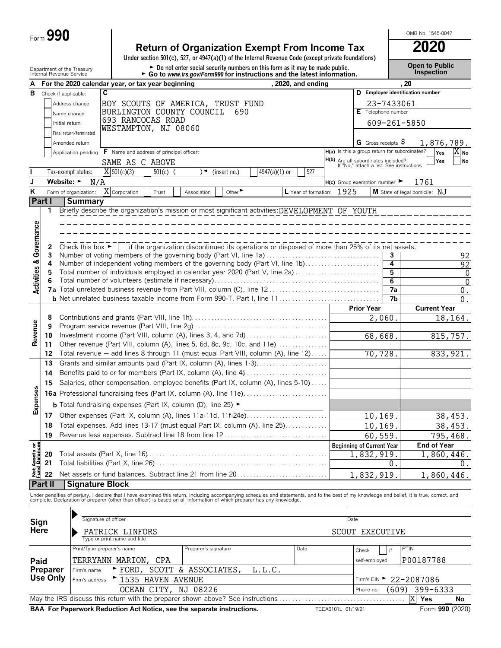| Form $\bm{J}$ | 990 |
|---------------|-----|
|---------------|-----|

# **Return of Organization Exempt From Income Tax 2020**

**Under section 501(c), 527, or 4947(a)(1) of the Internal Revenue Code (except private foundations)**

OMB No. 1545-0047

|                                        | Department of the Treasury<br>Internal Revenue Service |                                               |                              |                                                   | $\triangleright$ Do not enter social security numbers on this form as it may be made public.<br>Go to www.irs.gov/Form990 for instructions and the latest information. |                             |               |                      |                                                                                                  |                              | <b>Open to Public</b><br><b>Inspection</b>                                                                                                                                                                                        |  |  |
|----------------------------------------|--------------------------------------------------------|-----------------------------------------------|------------------------------|---------------------------------------------------|------------------------------------------------------------------------------------------------------------------------------------------------------------------------|-----------------------------|---------------|----------------------|--------------------------------------------------------------------------------------------------|------------------------------|-----------------------------------------------------------------------------------------------------------------------------------------------------------------------------------------------------------------------------------|--|--|
| А                                      |                                                        |                                               |                              | For the 2020 calendar year, or tax year beginning |                                                                                                                                                                        |                             |               | , 2020, and ending   |                                                                                                  |                              | .20                                                                                                                                                                                                                               |  |  |
| в                                      | Check if applicable:                                   |                                               | $\overline{c}$               |                                                   |                                                                                                                                                                        |                             |               |                      |                                                                                                  |                              | D Employer identification number                                                                                                                                                                                                  |  |  |
|                                        |                                                        | Address change                                |                              |                                                   | BOY SCOUTS OF AMERICA, TRUST FUND                                                                                                                                      |                             |               |                      |                                                                                                  | 23-7433061                   |                                                                                                                                                                                                                                   |  |  |
|                                        |                                                        | Name change                                   |                              |                                                   | BURLINGTON COUNTY COUNCIL                                                                                                                                              | 690                         |               |                      |                                                                                                  | E Telephone number           |                                                                                                                                                                                                                                   |  |  |
|                                        | Initial return                                         |                                               |                              | 693 RANCOCAS ROAD                                 |                                                                                                                                                                        |                             |               |                      |                                                                                                  | 609-261-5850                 |                                                                                                                                                                                                                                   |  |  |
|                                        |                                                        | Final return/terminated                       |                              | WESTAMPTON, NJ 08060                              |                                                                                                                                                                        |                             |               |                      |                                                                                                  |                              |                                                                                                                                                                                                                                   |  |  |
|                                        |                                                        | Amended return                                |                              |                                                   |                                                                                                                                                                        |                             |               |                      |                                                                                                  | G Gross receipts $\varsigma$ |                                                                                                                                                                                                                                   |  |  |
|                                        |                                                        |                                               |                              | F Name and address of principal officer:          |                                                                                                                                                                        |                             |               |                      | H(a) Is this a group return for subordinates?                                                    |                              | 1,876,789.<br>X No                                                                                                                                                                                                                |  |  |
|                                        |                                                        | Application pending                           |                              |                                                   |                                                                                                                                                                        |                             |               |                      |                                                                                                  |                              | Yes<br>Yes<br><b>No</b>                                                                                                                                                                                                           |  |  |
|                                        |                                                        |                                               |                              | SAME AS C ABOVE                                   |                                                                                                                                                                        |                             |               |                      | H(b) Are all subordinates included?<br>If "No," attach a list. See instructions                  |                              |                                                                                                                                                                                                                                   |  |  |
|                                        |                                                        | Tax-exempt status:                            | $X$ 501(c)(3)                | $501(c)$ (                                        | )◄                                                                                                                                                                     | (insert no.)                | 4947(a)(1) or | 527                  |                                                                                                  |                              |                                                                                                                                                                                                                                   |  |  |
| J                                      | Website: $\blacktriangleright$                         | N/A                                           |                              |                                                   |                                                                                                                                                                        |                             |               |                      | $H(c)$ Group exemption number $\blacktriangleright$                                              |                              | 1761                                                                                                                                                                                                                              |  |  |
| Κ                                      |                                                        | Form of organization:                         | Corporation                  | Trust                                             | Association                                                                                                                                                            | Other $\blacktriangleright$ |               | L Year of formation: | 1925                                                                                             |                              | M State of legal domicile: NJ                                                                                                                                                                                                     |  |  |
| Part I                                 |                                                        | <b>Summary</b>                                |                              |                                                   |                                                                                                                                                                        |                             |               |                      |                                                                                                  |                              |                                                                                                                                                                                                                                   |  |  |
|                                        | 1                                                      |                                               |                              |                                                   |                                                                                                                                                                        |                             |               |                      | Briefly describe the organization's mission or most significant activities: DEVELOPMENT OF YOUTH |                              |                                                                                                                                                                                                                                   |  |  |
|                                        |                                                        |                                               |                              |                                                   |                                                                                                                                                                        |                             |               |                      |                                                                                                  |                              |                                                                                                                                                                                                                                   |  |  |
|                                        |                                                        |                                               |                              |                                                   |                                                                                                                                                                        |                             |               |                      |                                                                                                  |                              |                                                                                                                                                                                                                                   |  |  |
| <b>Activities &amp; Governance</b>     | 2                                                      | Check this box $\blacktriangleright$ $\vdash$ |                              |                                                   |                                                                                                                                                                        |                             |               |                      | if the organization discontinued its operations or disposed of more than 25% of its net assets.  |                              |                                                                                                                                                                                                                                   |  |  |
|                                        | 3                                                      |                                               |                              |                                                   |                                                                                                                                                                        |                             |               |                      | Number of voting members of the governing body (Part VI, line 1a)                                | 3                            | 92                                                                                                                                                                                                                                |  |  |
|                                        | 4                                                      |                                               |                              |                                                   |                                                                                                                                                                        |                             |               |                      | Number of independent voting members of the governing body (Part VI, line 1b)                    | 4                            | 92                                                                                                                                                                                                                                |  |  |
|                                        | 5                                                      |                                               |                              |                                                   |                                                                                                                                                                        |                             |               |                      | Total number of individuals employed in calendar year 2020 (Part V, line 2a)                     | 5                            | $\mathbf{0}$                                                                                                                                                                                                                      |  |  |
|                                        |                                                        |                                               |                              |                                                   |                                                                                                                                                                        |                             |               |                      |                                                                                                  | 6                            | $\mathbf 0$                                                                                                                                                                                                                       |  |  |
|                                        | 7а                                                     |                                               |                              |                                                   |                                                                                                                                                                        |                             |               |                      |                                                                                                  | 7a                           | 0.                                                                                                                                                                                                                                |  |  |
|                                        |                                                        |                                               |                              |                                                   |                                                                                                                                                                        |                             |               |                      |                                                                                                  | 7b                           | $\overline{0}$ .                                                                                                                                                                                                                  |  |  |
|                                        |                                                        |                                               |                              |                                                   |                                                                                                                                                                        |                             |               |                      | <b>Prior Year</b>                                                                                |                              | <b>Current Year</b>                                                                                                                                                                                                               |  |  |
|                                        | 8                                                      |                                               |                              |                                                   |                                                                                                                                                                        |                             |               |                      |                                                                                                  | 2,060                        | 18,164.                                                                                                                                                                                                                           |  |  |
| Revenue                                | 9                                                      |                                               |                              |                                                   |                                                                                                                                                                        |                             |               |                      |                                                                                                  |                              |                                                                                                                                                                                                                                   |  |  |
|                                        | 10                                                     |                                               |                              |                                                   |                                                                                                                                                                        |                             |               |                      |                                                                                                  | 68,668.                      | 815,757.                                                                                                                                                                                                                          |  |  |
|                                        | 11<br>12                                               |                                               |                              |                                                   | Other revenue (Part VIII, column (A), lines 5, 6d, 8c, 9c, 10c, and 11e)<br>Total revenue - add lines 8 through 11 (must equal Part VIII, column (A), line 12)         |                             |               |                      |                                                                                                  | 70,728.                      |                                                                                                                                                                                                                                   |  |  |
|                                        | 13                                                     |                                               |                              |                                                   | Grants and similar amounts paid (Part IX, column (A), lines 1-3)                                                                                                       |                             |               |                      |                                                                                                  |                              | 833, 921.                                                                                                                                                                                                                         |  |  |
|                                        | 14                                                     |                                               |                              |                                                   | Benefits paid to or for members (Part IX, column (A), line 4)                                                                                                          |                             |               |                      |                                                                                                  |                              |                                                                                                                                                                                                                                   |  |  |
|                                        |                                                        |                                               |                              |                                                   |                                                                                                                                                                        |                             |               |                      |                                                                                                  |                              |                                                                                                                                                                                                                                   |  |  |
|                                        | 15                                                     |                                               |                              |                                                   | Salaries, other compensation, employee benefits (Part IX, column (A), lines 5-10)                                                                                      |                             |               |                      |                                                                                                  |                              |                                                                                                                                                                                                                                   |  |  |
| Expenses                               |                                                        |                                               |                              |                                                   |                                                                                                                                                                        |                             |               |                      |                                                                                                  |                              |                                                                                                                                                                                                                                   |  |  |
|                                        |                                                        |                                               |                              |                                                   | <b>b</b> Total fundraising expenses (Part IX, column (D), line 25) $\blacktriangleright$                                                                               |                             |               |                      |                                                                                                  |                              |                                                                                                                                                                                                                                   |  |  |
|                                        |                                                        |                                               |                              |                                                   | 17 Other expenses (Part IX, column (A), lines 11a-11d, 11f-24e)                                                                                                        |                             |               |                      |                                                                                                  | 10, 169.                     | 38,453.                                                                                                                                                                                                                           |  |  |
|                                        | 18                                                     |                                               |                              |                                                   | Total expenses. Add lines 13-17 (must equal Part IX, column (A), line 25)                                                                                              |                             |               |                      |                                                                                                  | 10,169.                      | 38,453.                                                                                                                                                                                                                           |  |  |
|                                        | 19                                                     |                                               |                              |                                                   | Revenue less expenses. Subtract line 18 from line 12                                                                                                                   |                             |               |                      |                                                                                                  | 60,559.                      | 795,468.                                                                                                                                                                                                                          |  |  |
|                                        |                                                        |                                               |                              |                                                   |                                                                                                                                                                        |                             |               |                      | <b>Beginning of Current Year</b>                                                                 |                              | <b>End of Year</b>                                                                                                                                                                                                                |  |  |
|                                        | 20                                                     |                                               |                              |                                                   |                                                                                                                                                                        |                             |               |                      | 1,832,919.                                                                                       |                              | 1,860,446.                                                                                                                                                                                                                        |  |  |
| <b>Net Assets or<br/>Fund Balances</b> | 21                                                     |                                               |                              |                                                   |                                                                                                                                                                        |                             |               |                      |                                                                                                  | 0.                           | 0.                                                                                                                                                                                                                                |  |  |
|                                        | 22                                                     |                                               |                              |                                                   | Net assets or fund balances. Subtract line 21 from line 20                                                                                                             |                             |               |                      | 1,832,919                                                                                        |                              | 1,860,446.                                                                                                                                                                                                                        |  |  |
|                                        | Part II                                                | <b>Signature Block</b>                        |                              |                                                   |                                                                                                                                                                        |                             |               |                      |                                                                                                  |                              |                                                                                                                                                                                                                                   |  |  |
|                                        |                                                        |                                               |                              |                                                   |                                                                                                                                                                        |                             |               |                      |                                                                                                  |                              | Under penalties of perjury, I declare that I have examined this return, including accompanying schedules and statements, and to the best of my knowledge and belief, it is true, correct, and<br>complete. Declaration of prepare |  |  |
|                                        |                                                        |                                               |                              |                                                   |                                                                                                                                                                        |                             |               |                      |                                                                                                  |                              |                                                                                                                                                                                                                                   |  |  |
|                                        |                                                        |                                               |                              |                                                   |                                                                                                                                                                        |                             |               |                      |                                                                                                  |                              |                                                                                                                                                                                                                                   |  |  |
| Sign                                   |                                                        |                                               | Signature of officer         |                                                   |                                                                                                                                                                        |                             |               |                      | Date                                                                                             |                              |                                                                                                                                                                                                                                   |  |  |
| Here                                   |                                                        |                                               | PATRICK LINFORS              |                                                   |                                                                                                                                                                        |                             |               |                      | <b>SCOUT EXECUTIVE</b>                                                                           |                              |                                                                                                                                                                                                                                   |  |  |
|                                        |                                                        |                                               | Type or print name and title |                                                   |                                                                                                                                                                        |                             |               |                      |                                                                                                  |                              |                                                                                                                                                                                                                                   |  |  |
|                                        |                                                        |                                               | Print/Type preparer's name   |                                                   | Preparer's signature                                                                                                                                                   |                             |               | Date                 | Check                                                                                            | if                           | <b>PTIN</b>                                                                                                                                                                                                                       |  |  |
| Paid                                   |                                                        |                                               | TERRYANN MARION, CPA         |                                                   |                                                                                                                                                                        |                             |               |                      | self-employed                                                                                    |                              | P00187788                                                                                                                                                                                                                         |  |  |
|                                        | Preparer                                               | Firm's name                                   | $\blacktriangleright$ FORD   |                                                   | SCOTT & ASSOCIATES,                                                                                                                                                    |                             | L.L.C.        |                      |                                                                                                  |                              |                                                                                                                                                                                                                                   |  |  |
|                                        | Use Only                                               | Firm's address                                |                              | ▶ 1535 HAVEN AVENUE                               |                                                                                                                                                                        |                             |               |                      | Firm's EIN ▶                                                                                     |                              | 22-2087086                                                                                                                                                                                                                        |  |  |
|                                        |                                                        |                                               |                              |                                                   | OCEAN CITY, NJ 08226                                                                                                                                                   |                             |               |                      | Phone no.                                                                                        |                              | $(609)$ 399-6333                                                                                                                                                                                                                  |  |  |

May the IRS discuss this return with the preparer shown above? See instructions. . . . . . . . . . . . . . . . . . . . . . . . . . . . . . . . . . . . . . . . **Yes No BAA For Paperwork Reduction Act Notice, see the separate instructions.** TEEA0101L 01/19/21 Form 990 (2020)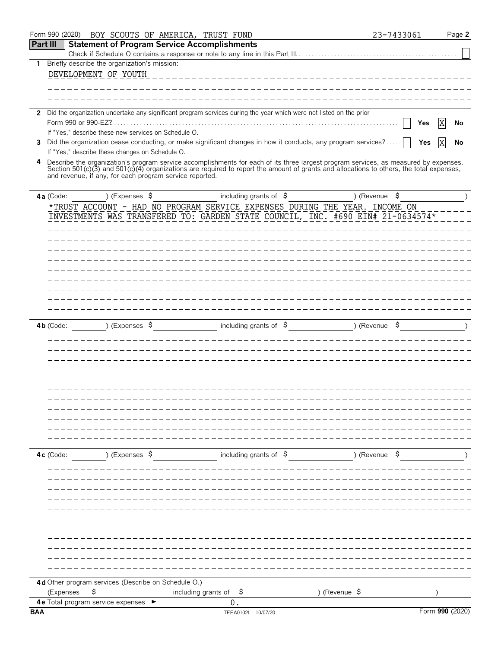|                 | Form 990 (2020)<br>BOY SCOUTS OF AMERICA, TRUST FUND                                                                                                                                                |                                   | 23-7433061               | Page 2          |
|-----------------|-----------------------------------------------------------------------------------------------------------------------------------------------------------------------------------------------------|-----------------------------------|--------------------------|-----------------|
| <b>Part III</b> | <b>Statement of Program Service Accomplishments</b>                                                                                                                                                 |                                   |                          |                 |
|                 | 1 Briefly describe the organization's mission:                                                                                                                                                      |                                   |                          |                 |
|                 | DEVELOPMENT OF YOUTH                                                                                                                                                                                |                                   |                          |                 |
|                 |                                                                                                                                                                                                     |                                   |                          |                 |
|                 |                                                                                                                                                                                                     |                                   |                          |                 |
|                 |                                                                                                                                                                                                     |                                   |                          |                 |
|                 | 2 Did the organization undertake any significant program services during the year which were not listed on the prior                                                                                |                                   |                          |                 |
|                 | Form 990 or 990-EZ?.                                                                                                                                                                                |                                   |                          | X<br>Yes<br>No  |
|                 | If "Yes," describe these new services on Schedule O.<br>Did the organization cease conducting, or make significant changes in how it conducts, any program services?                                |                                   |                          |                 |
| 3               | If "Yes," describe these changes on Schedule O.                                                                                                                                                     |                                   |                          | X<br>Yes<br>No  |
| 4               | Describe the organization's program service accomplishments for each of its three largest program services, as measured by expenses.                                                                |                                   |                          |                 |
|                 | Section 501(c)(3) and 501(c)(4) organizations are required to report the amount of grants and allocations to others, the total expenses,<br>and revenue, if any, for each program service reported. |                                   |                          |                 |
|                 |                                                                                                                                                                                                     |                                   |                          |                 |
|                 | ) (Expenses $\sqrt{5}$<br>4a (Code:                                                                                                                                                                 | including grants of $\hat{S}$     | ) (Revenue $\frac{1}{2}$ |                 |
|                 | *TRUST ACCOUNT - HAD NO PROGRAM SERVICE EXPENSES DURING THE YEAR. INCOME ON                                                                                                                         |                                   |                          |                 |
|                 | INVESTMENTS WAS TRANSFERED TO: GARDEN STATE COUNCIL, INC. #690 EIN# 21-0634574*                                                                                                                     |                                   |                          |                 |
|                 |                                                                                                                                                                                                     |                                   |                          |                 |
|                 |                                                                                                                                                                                                     |                                   |                          |                 |
|                 |                                                                                                                                                                                                     |                                   |                          |                 |
|                 |                                                                                                                                                                                                     |                                   |                          |                 |
|                 |                                                                                                                                                                                                     |                                   |                          |                 |
|                 |                                                                                                                                                                                                     |                                   |                          |                 |
|                 |                                                                                                                                                                                                     |                                   |                          |                 |
|                 |                                                                                                                                                                                                     |                                   |                          |                 |
|                 |                                                                                                                                                                                                     |                                   |                          |                 |
|                 | ) (Expenses $\sqrt{5}$<br>$4b$ (Code:                                                                                                                                                               | including grants of $\sqrt{5}$    | ) (Revenue \$            |                 |
|                 |                                                                                                                                                                                                     |                                   |                          |                 |
|                 |                                                                                                                                                                                                     |                                   |                          |                 |
|                 |                                                                                                                                                                                                     |                                   |                          |                 |
|                 |                                                                                                                                                                                                     |                                   |                          |                 |
|                 |                                                                                                                                                                                                     |                                   |                          |                 |
|                 |                                                                                                                                                                                                     |                                   |                          |                 |
|                 |                                                                                                                                                                                                     |                                   |                          |                 |
|                 |                                                                                                                                                                                                     |                                   |                          |                 |
|                 |                                                                                                                                                                                                     |                                   |                          |                 |
|                 |                                                                                                                                                                                                     |                                   |                          |                 |
|                 |                                                                                                                                                                                                     |                                   |                          |                 |
|                 | ) (Expenses \$<br>4c (Code:                                                                                                                                                                         | including grants of $\$$          | ) (Revenue $\frac{1}{2}$ |                 |
|                 |                                                                                                                                                                                                     |                                   |                          |                 |
|                 |                                                                                                                                                                                                     |                                   |                          |                 |
|                 |                                                                                                                                                                                                     |                                   |                          |                 |
|                 |                                                                                                                                                                                                     |                                   |                          |                 |
|                 |                                                                                                                                                                                                     |                                   |                          |                 |
|                 |                                                                                                                                                                                                     |                                   |                          |                 |
|                 |                                                                                                                                                                                                     |                                   |                          |                 |
|                 |                                                                                                                                                                                                     |                                   |                          |                 |
|                 |                                                                                                                                                                                                     |                                   |                          |                 |
|                 |                                                                                                                                                                                                     |                                   |                          |                 |
|                 |                                                                                                                                                                                                     |                                   |                          |                 |
|                 | 4d Other program services (Describe on Schedule O.)                                                                                                                                                 |                                   |                          |                 |
|                 | \$<br>(Expenses                                                                                                                                                                                     | including grants of $\frac{1}{5}$ | ) (Revenue \$            |                 |
|                 | 4 e Total program service expenses >                                                                                                                                                                | 0.                                |                          |                 |
| <b>BAA</b>      |                                                                                                                                                                                                     | TEEA0102L 10/07/20                |                          | Form 990 (2020) |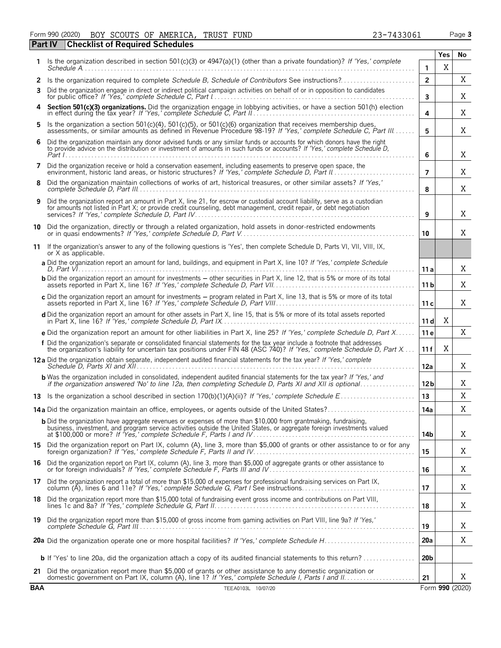Form 990 (2020) BOY SCOUTS OF AMERICA, TRUST FUND 23-7433061 Page **3** BOY SCOUTS OF AMERICA, TRUST FUND 23-7433061

| Part IV    | <b>Checklist of Required Schedules</b>                                                                                                                                                                                                              |                 |             |                 |
|------------|-----------------------------------------------------------------------------------------------------------------------------------------------------------------------------------------------------------------------------------------------------|-----------------|-------------|-----------------|
| 1.         | Is the organization described in section 501(c)(3) or $4947(a)(1)$ (other than a private foundation)? If 'Yes,' complete                                                                                                                            |                 | Yes         | No              |
|            | $S$ chedule $A$                                                                                                                                                                                                                                     | 1               | $\mathbf X$ |                 |
| 2<br>3     | Is the organization required to complete Schedule B, Schedule of Contributors See instructions?<br>Did the organization engage in direct or indirect political campaign activities on behalf of or in opposition to candidates                      | $\overline{2}$  |             | X               |
|            |                                                                                                                                                                                                                                                     | 3               |             | Χ               |
|            | Section 501(c)(3) organizations. Did the organization engage in lobbying activities, or have a section 501(h) election in effect during the tax year? If 'Yes,' complete Schedule C, Part II.                                                       | 4               |             | Χ               |
| 5          | Is the organization a section 501(c)(4), 501(c)(5), or 501(c)(6) organization that receives membership dues, assessments, or similar amounts as defined in Revenue Procedure 98-19? If 'Yes,' complete Schedule C, Part III                         | 5               |             | Χ               |
|            | Did the organization maintain any donor advised funds or any similar funds or accounts for which donors have the right<br>to provide advice on the distribution or investment of amounts in such funds or accounts? If 'Yes,' complete Schedule D,  | 6               |             | Χ               |
| 7          | Did the organization receive or hold a conservation easement, including easements to preserve open space, the                                                                                                                                       | $\overline{7}$  |             | Χ               |
| 8          | Did the organization maintain collections of works of art, historical treasures, or other similar assets? If 'Yes,'                                                                                                                                 | 8               |             | Χ               |
| 9          | Did the organization report an amount in Part X, line 21, for escrow or custodial account liability, serve as a custodian<br>for amounts not listed in Part X; or provide credit counseling, debt management, credit repair, or debt negotiation    | 9               |             | X               |
| 10         | Did the organization, directly or through a related organization, hold assets in donor-restricted endowments                                                                                                                                        | 10              |             | X               |
| 11         | If the organization's answer to any of the following questions is 'Yes', then complete Schedule D, Parts VI, VII, VIII, IX,<br>or X as applicable.                                                                                                  |                 |             |                 |
|            | a Did the organization report an amount for land, buildings, and equipment in Part X, line 10? If 'Yes,' complete Schedule                                                                                                                          | 11 a            |             | Χ               |
|            | <b>b</b> Did the organization report an amount for investments – other securities in Part X, line 12, that is 5% or more of its total                                                                                                               | 11 b            |             | X               |
|            | c Did the organization report an amount for investments - program related in Part X, line 13, that is 5% or more of its total                                                                                                                       | 11c             |             | Χ               |
|            | d Did the organization report an amount for other assets in Part X, line 15, that is 5% or more of its total assets reported                                                                                                                        | 11d             | Χ           |                 |
|            | e Did the organization report an amount for other liabilities in Part X, line 25? If 'Yes,' complete Schedule D, Part X                                                                                                                             | 11 e            |             | X               |
|            | f Did the organization's separate or consolidated financial statements for the tax year include a footnote that addresses<br>the organization's liability for uncertain tax positions under FIN 48 (ASC 740)? If 'Yes,' complete Schedule D, Part X | 11 f            | X           |                 |
|            | 12a Did the organization obtain separate, independent audited financial statements for the tax year? If 'Yes,' complete                                                                                                                             | 12a             |             | Χ               |
|            | <b>b</b> Was the organization included in consolidated, independent audited financial statements for the tax year? If 'Yes,' and<br>if the organization answered 'No' to line 12a, then completing Schedule D, Parts XI and XII is optional         | 12 <sub>b</sub> |             | Χ               |
|            |                                                                                                                                                                                                                                                     | 13              |             | X               |
|            | 14a Did the organization maintain an office, employees, or agents outside of the United States?                                                                                                                                                     | 14a             |             | X               |
|            | <b>b</b> Did the organization have aggregate revenues or expenses of more than \$10,000 from grantmaking, fundraising,<br>business, investment, and program service activities outside the United States, or aggregate foreign investments valued   | 14b             |             | X               |
|            | 15 Did the organization report on Part IX, column (A), line 3, more than \$5,000 of grants or other assistance to or for any foreign organization? If 'Yes,' complete Schedule F, Parts II and IV                                                   | 15              |             | Χ               |
|            | 16 Did the organization report on Part IX, column (A), line 3, more than \$5,000 of aggregate grants or other assistance to<br>or for foreign individuals? If 'Yes,' complete Schedule F, Parts III and IV                                          | 16              |             | Χ               |
|            | 17 Did the organization report a total of more than \$15,000 of expenses for professional fundraising services on Part IX,<br>column (A), lines 6 and 11e? If 'Yes,' complete Schedule G, Part I See instructions                                   | 17              |             | Χ               |
|            | 18 Did the organization report more than \$15,000 total of fundraising event gross income and contributions on Part VIII,                                                                                                                           | 18              |             | Χ               |
|            | 19 Did the organization report more than \$15,000 of gross income from gaming activities on Part VIII, line 9a? If 'Yes,'                                                                                                                           | 19              |             | Χ               |
|            |                                                                                                                                                                                                                                                     | 20a             |             | Χ               |
|            | <b>b</b> If 'Yes' to line 20a, did the organization attach a copy of its audited financial statements to this return?                                                                                                                               | 20 <sub>b</sub> |             |                 |
|            | 21 Did the organization report more than \$5,000 of grants or other assistance to any domestic organization or                                                                                                                                      | 21              |             | X               |
| <b>BAA</b> | TEEA0103L 10/07/20                                                                                                                                                                                                                                  |                 |             | Form 990 (2020) |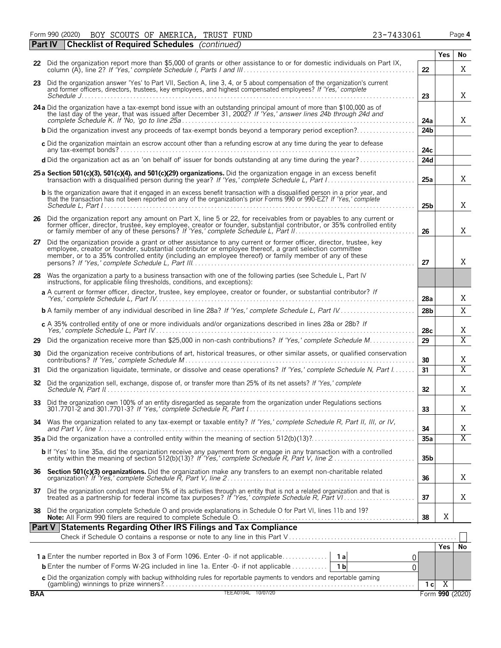Form 990 (2020) BOY SCOUTS OF AMERICA, TRUST FUND 23-7433061 Page **4** BOY SCOUTS OF AMERICA, TRUST FUND 23-7433061

|            | Part IV | <b>Checklist of Required Schedules</b> (continued)                                                                                                                                                                                                                                                                                    |                 |                |                         |
|------------|---------|---------------------------------------------------------------------------------------------------------------------------------------------------------------------------------------------------------------------------------------------------------------------------------------------------------------------------------------|-----------------|----------------|-------------------------|
|            |         |                                                                                                                                                                                                                                                                                                                                       |                 | Yes            | No                      |
|            |         | 22 Did the organization report more than \$5,000 of grants or other assistance to or for domestic individuals on Part IX,                                                                                                                                                                                                             | 22              |                | X                       |
|            |         | 23 Did the organization answer 'Yes' to Part VII, Section A, line 3, 4, or 5 about compensation of the organization's current<br>and former officers, directors, trustees, key employees, and highest compensated employees? If 'Yes,' complete                                                                                       | 23              |                | X                       |
|            |         | 24 a Did the organization have a tax-exempt bond issue with an outstanding principal amount of more than \$100,000 as of the last day of the year, that was issued after December 31, 2002? If 'Yes,' answer lines 24b through                                                                                                        | 24a             |                | X                       |
|            |         | <b>b</b> Did the organization invest any proceeds of tax-exempt bonds beyond a temporary period exception?                                                                                                                                                                                                                            | 24 <sub>b</sub> |                |                         |
|            |         | c Did the organization maintain an escrow account other than a refunding escrow at any time during the year to defease                                                                                                                                                                                                                | 24с             |                |                         |
|            |         | d Did the organization act as an 'on behalf of' issuer for bonds outstanding at any time during the year?                                                                                                                                                                                                                             | 24d             |                |                         |
|            |         | 25 a Section 501(c)(3), 501(c)(4), and 501(c)(29) organizations. Did the organization engage in an excess benefit                                                                                                                                                                                                                     | 25a             |                | X                       |
|            |         | <b>b</b> Is the organization aware that it engaged in an excess benefit transaction with a disqualified person in a prior year, and<br>that the transaction has not been reported on any of the organization's prior Forms 990 or 990-EZ? If 'Yes,' complete                                                                          | 25b             |                | X                       |
|            |         | 26 Did the organization report any amount on Part X, line 5 or 22, for receivables from or payables to any current or former officer, director, trustee, key employee, creator or founder, substantial contributor, or 35% con                                                                                                        | 26              |                | Χ                       |
| 27         |         | Did the organization provide a grant or other assistance to any current or former officer, director, trustee, key<br>employee, creator or founder, substantial contributor or employee thereof, a grant selection committee<br>member, or to a 35% controlled entity (including an employee thereof) or family member of any of these | 27              |                | Χ                       |
| 28         |         | Was the organization a party to a business transaction with one of the following parties (see Schedule L, Part IV<br>instructions, for applicable filing thresholds, conditions, and exceptions):                                                                                                                                     |                 |                |                         |
|            |         | a A current or former officer, director, trustee, key employee, creator or founder, or substantial contributor? If                                                                                                                                                                                                                    | 28a             |                | Χ                       |
|            |         | <b>b</b> A family member of any individual described in line 28a? If 'Yes,' complete Schedule L, Part IV                                                                                                                                                                                                                              | 28 <sub>b</sub> |                | X                       |
|            |         | c A 35% controlled entity of one or more individuals and/or organizations described in lines 28a or 28b? If                                                                                                                                                                                                                           | 28c             |                | Χ                       |
| 29         |         | Did the organization receive more than \$25,000 in non-cash contributions? If 'Yes,' complete Schedule M                                                                                                                                                                                                                              | 29              |                | $\overline{\text{X}}$   |
| 30         |         | Did the organization receive contributions of art, historical treasures, or other similar assets, or qualified conservation                                                                                                                                                                                                           | 30              |                | Χ                       |
| 31         |         | Did the organization liquidate, terminate, or dissolve and cease operations? If 'Yes,' complete Schedule N, Part I                                                                                                                                                                                                                    | 31              |                | $\overline{\mathrm{X}}$ |
| 32         |         | Did the organization sell, exchange, dispose of, or transfer more than 25% of its net assets? If 'Yes,' complete                                                                                                                                                                                                                      | 32 <sub>2</sub> |                | Χ                       |
| 33         |         | Did the organization own 100% of an entity disregarded as separate from the organization under Regulations sections<br>301.7701-2 and 301.7701-3? If 'Yes,' complete Schedule R, Part 1                                                                                                                                               | 33              |                | Χ                       |
| 34         |         | Was the organization related to any tax-exempt or taxable entity? If 'Yes,' complete Schedule R, Part II, III, or IV,                                                                                                                                                                                                                 | 34              |                | Χ                       |
|            |         |                                                                                                                                                                                                                                                                                                                                       | 35a             |                | $\overline{X}$          |
|            |         | b If 'Yes' to line 35a, did the organization receive any payment from or engage in any transaction with a controlled<br>entity within the meaning of section 512(b)(13)? If 'Yes,' complete Schedule R, Part V, line 2                                                                                                                | 35 <sub>b</sub> |                |                         |
|            |         |                                                                                                                                                                                                                                                                                                                                       | 36              |                | Χ                       |
| 37         |         | Did the organization conduct more than 5% of its activities through an entity that is not a related organization and that is treated as a partnership for federal income tax purposes? If 'Yes,' complete Schedule R, Part VI.                                                                                                        | 37              |                | Χ                       |
| 38         |         | Did the organization complete Schedule O and provide explanations in Schedule O for Part VI, lines 11b and 19?                                                                                                                                                                                                                        | 38              | X              |                         |
|            |         | Part V Statements Regarding Other IRS Filings and Tax Compliance                                                                                                                                                                                                                                                                      |                 |                |                         |
|            |         |                                                                                                                                                                                                                                                                                                                                       |                 | <b>Yes</b>     | No                      |
|            |         | 0.<br><b>b</b> Enter the number of Forms W-2G included in line 1a. Enter -0- if not applicable<br>1 <sub>b</sub><br>0                                                                                                                                                                                                                 |                 |                |                         |
|            |         |                                                                                                                                                                                                                                                                                                                                       |                 |                |                         |
| <b>BAA</b> |         | C Did the organization comply with backup withholding rules for reportable payments to vendors and reportable gaming<br>(gambling) winnings to prize winners?<br>TEEA0104L 10/07/20                                                                                                                                                   | 1 <sub>c</sub>  | $\overline{X}$ | Form 990 (2020)         |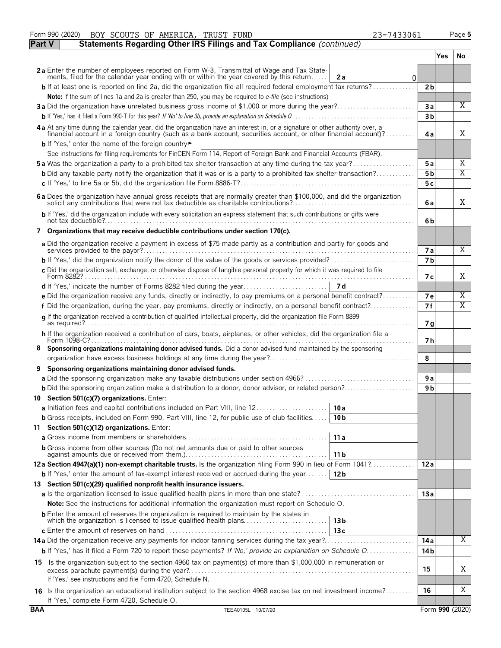|               | Form 990 (2020)<br>BOY SCOUTS OF AMERICA, TRUST FUND<br>23-7433061                                                                                                                                          |                |     | Page 5          |
|---------------|-------------------------------------------------------------------------------------------------------------------------------------------------------------------------------------------------------------|----------------|-----|-----------------|
| <b>Part V</b> | Statements Regarding Other IRS Filings and Tax Compliance (continued)                                                                                                                                       |                |     |                 |
|               |                                                                                                                                                                                                             |                | Yes | No.             |
|               | 2a Enter the number of employees reported on Form W-3, Transmittal of Wage and Tax State-<br>ments, filed for the calendar year ending with or within the year covered by this return<br>2a<br>$\Omega$     |                |     |                 |
|               | <b>b</b> If at least one is reported on line 2a, did the organization file all required federal employment tax returns?                                                                                     | 2 <sub>b</sub> |     |                 |
|               | Note: If the sum of lines 1a and 2a is greater than 250, you may be required to e-file (see instructions)                                                                                                   |                |     |                 |
|               | 3a Did the organization have unrelated business gross income of \$1,000 or more during the year?                                                                                                            | 3a             |     | $\overline{X}$  |
|               |                                                                                                                                                                                                             | 3 <sub>b</sub> |     |                 |
|               | 4 a At any time during the calendar year, did the organization have an interest in, or a signature or other authority over, a                                                                               |                |     |                 |
|               | financial account in a foreign country (such as a bank account, securities account, or other financial account)?<br><b>b</b> If 'Yes,' enter the name of the foreign country                                | 4a             |     | Χ               |
|               | See instructions for filing requirements for FinCEN Form 114, Report of Foreign Bank and Financial Accounts (FBAR).                                                                                         |                |     |                 |
|               | <b>5a</b> Was the organization a party to a prohibited tax shelter transaction at any time during the tax year?                                                                                             | 5a             |     | Χ               |
|               | <b>b</b> Did any taxable party notify the organization that it was or is a party to a prohibited tax shelter transaction?                                                                                   | 5 <sub>b</sub> |     | Χ               |
|               |                                                                                                                                                                                                             | 5с             |     |                 |
|               |                                                                                                                                                                                                             |                |     |                 |
|               | 6 a Does the organization have annual gross receipts that are normally greater than \$100,000, and did the organization solicit any contributions that were not tax deductible as charitable contributions? | 6a             |     | Χ               |
|               | b If 'Yes,' did the organization include with every solicitation an express statement that such contributions or gifts were                                                                                 | 6b             |     |                 |
|               | 7 Organizations that may receive deductible contributions under section 170(c).                                                                                                                             |                |     |                 |
|               | a Did the organization receive a payment in excess of \$75 made partly as a contribution and partly for goods and                                                                                           | <b>7a</b>      |     | Χ               |
|               |                                                                                                                                                                                                             | 7 <sub>b</sub> |     |                 |
|               | c Did the organization sell, exchange, or otherwise dispose of tangible personal property for which it was required to file                                                                                 | 7 с            |     | Χ               |
|               |                                                                                                                                                                                                             |                |     |                 |
|               | e Did the organization receive any funds, directly or indirectly, to pay premiums on a personal benefit contract?                                                                                           | <b>7e</b>      |     | Χ               |
|               | f Did the organization, during the year, pay premiums, directly or indirectly, on a personal benefit contract?                                                                                              | 7f             |     | Χ               |
|               | g If the organization received a contribution of qualified intellectual property, did the organization file Form 8899                                                                                       |                |     |                 |
|               |                                                                                                                                                                                                             | 7 <sub>q</sub> |     |                 |
|               | h If the organization received a contribution of cars, boats, airplanes, or other vehicles, did the organization file a                                                                                     | 7 h            |     |                 |
| 8             | Sponsoring organizations maintaining donor advised funds. Did a donor advised fund maintained by the sponsoring                                                                                             |                |     |                 |
|               |                                                                                                                                                                                                             | 8              |     |                 |
| 9             | Sponsoring organizations maintaining donor advised funds.                                                                                                                                                   |                |     |                 |
|               |                                                                                                                                                                                                             | 9 a            |     |                 |
|               | <b>b</b> Did the sponsoring organization make a distribution to a donor, donor advisor, or related person?                                                                                                  | 9 <sub>b</sub> |     |                 |
|               | 10 Section 501(c)(7) organizations. Enter:                                                                                                                                                                  |                |     |                 |
|               | 10 a                                                                                                                                                                                                        |                |     |                 |
|               | <b>b</b> Gross receipts, included on Form 990, Part VIII, line 12, for public use of club facilities<br>10 <sub>b</sub>                                                                                     |                |     |                 |
|               | 11 Section 501(c)(12) organizations. Enter:                                                                                                                                                                 |                |     |                 |
|               | 11a                                                                                                                                                                                                         |                |     |                 |
|               | <b>b</b> Gross income from other sources (Do not net amounts due or paid to other sources<br>11 b                                                                                                           |                |     |                 |
|               | 12a Section 4947(a)(1) non-exempt charitable trusts. Is the organization filing Form 990 in lieu of Form 1041?                                                                                              | 12a            |     |                 |
|               | <b>b</b> If 'Yes,' enter the amount of tax-exempt interest received or accrued during the year<br>12 <sub>b</sub>                                                                                           |                |     |                 |
|               | 13 Section 501(c)(29) qualified nonprofit health insurance issuers.                                                                                                                                         |                |     |                 |
|               |                                                                                                                                                                                                             | 13a            |     |                 |
|               | <b>Note:</b> See the instructions for additional information the organization must report on Schedule O.                                                                                                    |                |     |                 |
|               | <b>b</b> Enter the amount of reserves the organization is required to maintain by the states in<br>which the organization is licensed to issue qualified health plans<br>13 <sub>b</sub>                    |                |     |                 |
|               | 13c                                                                                                                                                                                                         |                |     |                 |
|               | 14a Did the organization receive any payments for indoor tanning services during the tax year?                                                                                                              | 14 a           |     | Χ               |
|               | b If 'Yes,' has it filed a Form 720 to report these payments? If 'No,' provide an explanation on Schedule O                                                                                                 | 14 b           |     |                 |
|               | 15 Is the organization subject to the section 4960 tax on payment(s) of more than \$1,000,000 in remuneration or                                                                                            |                |     |                 |
|               |                                                                                                                                                                                                             | 15             |     | Χ               |
|               | If 'Yes,' see instructions and file Form 4720, Schedule N.                                                                                                                                                  |                |     |                 |
|               | 16 Is the organization an educational institution subject to the section 4968 excise tax on net investment income?                                                                                          | 16             |     | Χ               |
| <b>BAA</b>    | If 'Yes,' complete Form 4720, Schedule O.<br>TEEA0105L 10/07/20                                                                                                                                             |                |     | Form 990 (2020) |
|               |                                                                                                                                                                                                             |                |     |                 |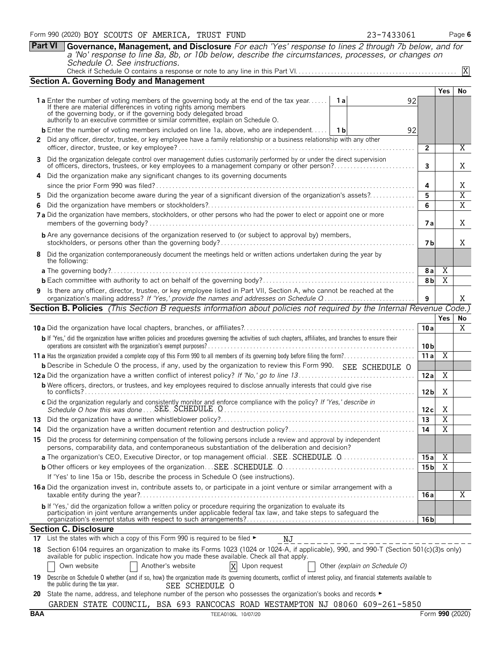|     | Part VI<br>Governance, Management, and Disclosure For each 'Yes' response to lines 2 through 7b below, and for                                                                                                                    |                       |                |                |
|-----|-----------------------------------------------------------------------------------------------------------------------------------------------------------------------------------------------------------------------------------|-----------------------|----------------|----------------|
|     | a 'No' response to line 8a, 8b, or 10b below, describe the circumstances, processes, or changes on<br>Schedule O. See instructions.                                                                                               |                       |                |                |
|     |                                                                                                                                                                                                                                   |                       |                | X              |
|     | <b>Section A. Governing Body and Management</b>                                                                                                                                                                                   |                       |                |                |
|     |                                                                                                                                                                                                                                   |                       | <b>Yes</b>     | No             |
|     | <b>1a</b> Enter the number of voting members of the governing body at the end of the tax year<br>1 a<br>92<br>If there are material differences in voting rights among members                                                    |                       |                |                |
|     | of the governing body, or if the governing body delegated broad<br>authority to an executive committee or similar committee, explain on Schedule O.                                                                               |                       |                |                |
|     | <b>b</b> Enter the number of voting members included on line 1a, above, who are independent 1 1b<br>92                                                                                                                            |                       |                |                |
|     | 2 Did any officer, director, trustee, or key employee have a family relationship or a business relationship with any other                                                                                                        |                       |                |                |
|     |                                                                                                                                                                                                                                   | $\overline{2}$        |                | X              |
| 3.  | Did the organization delegate control over management duties customarily performed by or under the direct supervision<br>of officers, directors, trustees, or key employees to a management company or other person?              | 3                     |                | X              |
|     | Did the organization make any significant changes to its governing documents                                                                                                                                                      |                       |                |                |
|     |                                                                                                                                                                                                                                   | 4                     |                | X              |
| 5.  | Did the organization become aware during the year of a significant diversion of the organization's assets?                                                                                                                        | 5                     |                | $\overline{X}$ |
|     |                                                                                                                                                                                                                                   | 6                     |                | $\overline{X}$ |
|     | 7a Did the organization have members, stockholders, or other persons who had the power to elect or appoint one or more                                                                                                            | 7а                    |                | X              |
|     | <b>b</b> Are any governance decisions of the organization reserved to (or subject to approval by) members,                                                                                                                        |                       |                |                |
|     |                                                                                                                                                                                                                                   | 7 b                   |                | X              |
| 8   | Did the organization contemporaneously document the meetings held or written actions undertaken during the year by<br>the following:                                                                                              |                       |                |                |
|     |                                                                                                                                                                                                                                   | 8 a<br>8 <sub>b</sub> | X<br>X         |                |
|     | 9 Is there any officer, director, trustee, or key employee listed in Part VII, Section A, who cannot be reached at the                                                                                                            |                       |                |                |
|     | organization's mailing address? If 'Yes,' provide the names and addresses on Schedule Q                                                                                                                                           | 9                     |                | X              |
|     | <b>Section B. Policies</b> (This Section B requests information about policies not required by the Internal Revenue Code.)                                                                                                        |                       |                |                |
|     |                                                                                                                                                                                                                                   | 10a                   | <b>Yes</b>     | No<br>X        |
|     | b If 'Yes,' did the organization have written policies and procedures governing the activities of such chapters, affiliates, and branches to ensure their                                                                         |                       |                |                |
|     |                                                                                                                                                                                                                                   | 10 <sub>b</sub>       |                |                |
|     |                                                                                                                                                                                                                                   | 11a                   | $\overline{X}$ |                |
|     | <b>b</b> Describe in Schedule O the process, if any, used by the organization to review this Form 990. SEE SCHEDULE O                                                                                                             |                       |                |                |
|     | <b>b</b> Were officers, directors, or trustees, and key employees required to disclose annually interests that could give rise                                                                                                    | 12a                   | Χ              |                |
|     | to conflicts?                                                                                                                                                                                                                     | 12 <sub>b</sub>       | X              |                |
|     | c Did the organization regularly and consistently monitor and enforce compliance with the policy? If 'Yes,' describe in                                                                                                           | 12 c                  | Χ              |                |
| 13  |                                                                                                                                                                                                                                   | 13                    | $\overline{X}$ |                |
| 14  |                                                                                                                                                                                                                                   | 14                    | $\overline{X}$ |                |
|     | 15 Did the process for determining compensation of the following persons include a review and approval by independent<br>persons, comparability data, and contemporaneous substantiation of the deliberation and decision?        |                       |                |                |
|     | a The organization's CEO, Executive Director, or top management official. SEE SCHEDULE 0                                                                                                                                          | 15a                   | X              |                |
|     | If 'Yes' to line 15a or 15b, describe the process in Schedule O (see instructions).                                                                                                                                               | 15 <sub>b</sub>       | Χ              |                |
|     | 16 a Did the organization invest in, contribute assets to, or participate in a joint venture or similar arrangement with a                                                                                                        |                       |                |                |
|     |                                                                                                                                                                                                                                   | 16 a                  |                | Χ              |
|     | b If 'Yes,' did the organization follow a written policy or procedure requiring the organization to evaluate its<br>participation in joint venture arrangements under applicable federal tax law, and take steps to safeguard the |                       |                |                |
|     | <b>Section C. Disclosure</b>                                                                                                                                                                                                      | 16 b                  |                |                |
| 17. | List the states with which a copy of this Form 990 is required to be filed ►<br>ΝJ                                                                                                                                                |                       |                |                |
|     | 18 Section 6104 requires an organization to make its Forms 1023 (1024 or 1024-A, if applicable), 990, and 990-T (Section 501(c)(3)s only)                                                                                         |                       |                |                |
|     | available for public inspection. Indicate how you made these available. Check all that apply.<br>Another's website<br>$\mathbf{X}$<br>Upon request<br>Own website<br>Other (explain on Schedule O)                                |                       |                |                |
| 19  | Describe on Schedule O whether (and if so, how) the organization made its governing documents, conflict of interest policy, and financial statements available to<br>the public during the tax year.<br>SEE SCHEDULE O            |                       |                |                |
| 20  | State the name, address, and telephone number of the person who possesses the organization's books and records ►                                                                                                                  |                       |                |                |
|     | GARDEN STATE COUNCIL, BSA 693 RANCOCAS ROAD WESTAMPTON NJ 08060 609-261-5850                                                                                                                                                      |                       |                |                |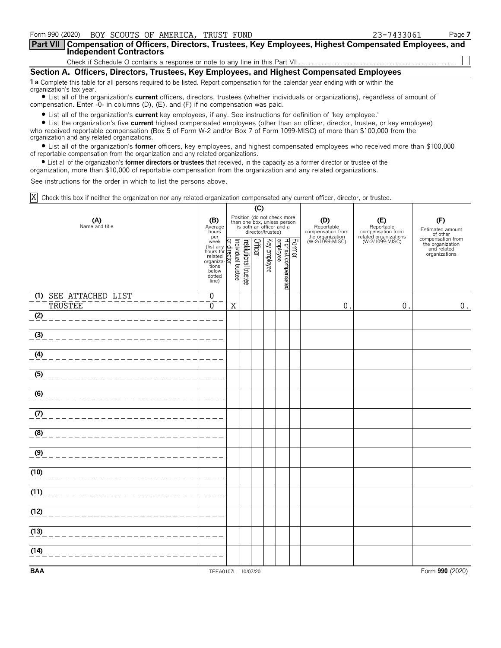| Form 990 (2020) BOY SCOUTS OF AMERICA, TRUST FUND                                                                                                                                                                                  | 23-7433061 | Page 7 |  |  |  |
|------------------------------------------------------------------------------------------------------------------------------------------------------------------------------------------------------------------------------------|------------|--------|--|--|--|
| <b>Part VII</b><br>Compensation of Officers, Directors, Trustees, Key Employees, Highest Compensated Employees, and<br><b>Independent Contractors</b>                                                                              |            |        |  |  |  |
|                                                                                                                                                                                                                                    |            |        |  |  |  |
| Section A. Officers, Directors, Trustees, Key Employees, and Highest Compensated Employees                                                                                                                                         |            |        |  |  |  |
| 1 a Complete this table for all persons required to be listed. Report compensation for the calendar year ending with or within the<br>organization's tax year.                                                                     |            |        |  |  |  |
| • List all of the organization's <b>current</b> officers, directors, trustees (whether individuals or organizations), regardless of amount of<br>compensation. Enter -0- in columns (D), (E), and (F) if no compensation was paid. |            |        |  |  |  |

? List all of the organization's **current** key employees, if any. See instructions for definition of 'key employee.'

? List the organization's five **current** highest compensated employees (other than an officer, director, trustee, or key employee) who received reportable compensation (Box 5 of Form W-2 and/or Box 7 of Form 1099-MISC) of more than \$100,000 from the organization and any related organizations.

? List all of the organization's **former** officers, key employees, and highest compensated employees who received more than \$100,000 of reportable compensation from the organization and any related organizations.

? List all of the organization's **former directors or trustees** that received, in the capacity as a former director or trustee of the

organization, more than \$10,000 of reportable compensation from the organization and any related organizations.

See instructions for the order in which to list the persons above.

Check this box if neither the organization nor any related organization compensated any current officer, director, or trustee. X

|                                         |                                                                                                                                  |   |                       | (C)            |                   |                                                                                        |        |                                        |                                                                                    |                                                                       |
|-----------------------------------------|----------------------------------------------------------------------------------------------------------------------------------|---|-----------------------|----------------|-------------------|----------------------------------------------------------------------------------------|--------|----------------------------------------|------------------------------------------------------------------------------------|-----------------------------------------------------------------------|
| (A)<br>Name and title                   | (B)<br>Average<br>hours<br>per                                                                                                   |   |                       |                | director/trustee) | Position (do not check more<br>than one box, unless person<br>is both an officer and a |        | (D)<br>Reportable<br>compensation from | (E)<br>Reportable<br>compensation from<br>related organizations<br>(W-2/1099-MISC) | (F)<br>Estimated amount<br>of other                                   |
|                                         | per<br>(list any Graph<br>(list any Graph<br>hours for pelated<br>related<br>tions<br>below<br>dotted<br>line)<br>line)<br>line) |   | Institutional trustee | <b>Officer</b> | Key employee      | Highest compensated<br>employee                                                        | Former | the organization<br>(W-2/1099-MISC)    |                                                                                    | compensation from<br>the organization<br>and related<br>organizations |
| (1) SEE ATTACHED LIST<br><b>TRUSTEE</b> | $\mathbf 0$<br>$\mathbf 0$                                                                                                       | X |                       |                |                   |                                                                                        |        | $\mathbf 0$                            | $\mathsf 0$                                                                        | $0$ .                                                                 |
| (2)                                     |                                                                                                                                  |   |                       |                |                   |                                                                                        |        |                                        |                                                                                    |                                                                       |
| (3)                                     |                                                                                                                                  |   |                       |                |                   |                                                                                        |        |                                        |                                                                                    |                                                                       |
| (4)                                     |                                                                                                                                  |   |                       |                |                   |                                                                                        |        |                                        |                                                                                    |                                                                       |
| (5)                                     |                                                                                                                                  |   |                       |                |                   |                                                                                        |        |                                        |                                                                                    |                                                                       |
| (6)                                     |                                                                                                                                  |   |                       |                |                   |                                                                                        |        |                                        |                                                                                    |                                                                       |
| (7)                                     |                                                                                                                                  |   |                       |                |                   |                                                                                        |        |                                        |                                                                                    |                                                                       |
| (8)                                     |                                                                                                                                  |   |                       |                |                   |                                                                                        |        |                                        |                                                                                    |                                                                       |
| (9)                                     |                                                                                                                                  |   |                       |                |                   |                                                                                        |        |                                        |                                                                                    |                                                                       |
| (10)                                    |                                                                                                                                  |   |                       |                |                   |                                                                                        |        |                                        |                                                                                    |                                                                       |
| (11)                                    |                                                                                                                                  |   |                       |                |                   |                                                                                        |        |                                        |                                                                                    |                                                                       |
| (12)                                    |                                                                                                                                  |   |                       |                |                   |                                                                                        |        |                                        |                                                                                    |                                                                       |
| (13)                                    |                                                                                                                                  |   |                       |                |                   |                                                                                        |        |                                        |                                                                                    |                                                                       |
| (14)                                    |                                                                                                                                  |   |                       |                |                   |                                                                                        |        |                                        |                                                                                    |                                                                       |
| <b>BAA</b>                              | TEEA0107L 10/07/20                                                                                                               |   |                       |                |                   |                                                                                        |        |                                        |                                                                                    | Form 990 (2020)                                                       |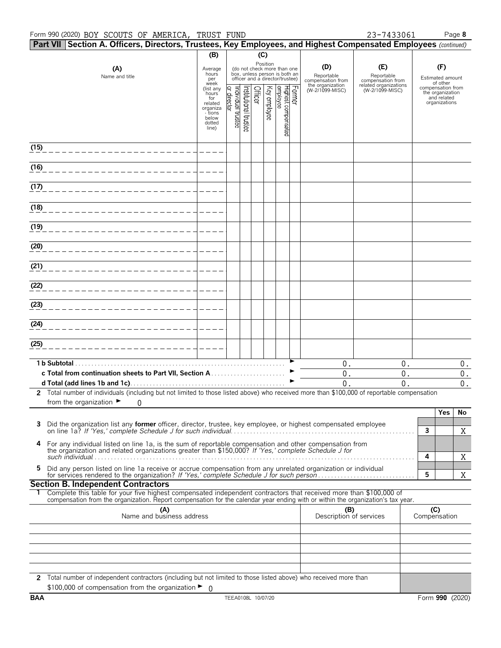#### Form 990 (2020) Page **8** BOY SCOUTS OF AMERICA, TRUST FUND 23-7433061

| 23-743306 |  |  |
|-----------|--|--|
|           |  |  |
|           |  |  |

|      | Part VII Section A. Officers, Directors, Trustees, Key Employees, and Highest Compensated Employees (continued)                                                                                                                                        |                                                                                                 |                                      |                      |         |              |                                                                                                             |        |                                        |                                          |                                                                                   |
|------|--------------------------------------------------------------------------------------------------------------------------------------------------------------------------------------------------------------------------------------------------------|-------------------------------------------------------------------------------------------------|--------------------------------------|----------------------|---------|--------------|-------------------------------------------------------------------------------------------------------------|--------|----------------------------------------|------------------------------------------|-----------------------------------------------------------------------------------|
|      |                                                                                                                                                                                                                                                        | (B)                                                                                             |                                      |                      | (C)     |              |                                                                                                             |        |                                        |                                          |                                                                                   |
|      | (A)<br>Name and title                                                                                                                                                                                                                                  | Average<br>hours<br>per                                                                         |                                      |                      |         |              | Position<br>(do not check more than one<br>box, unless person is both an<br>officer and a director/trustee) |        | (D)<br>Reportable<br>compensation from | (E)<br>Reportable<br>compensation from   | (F)<br>Estimated amount                                                           |
|      |                                                                                                                                                                                                                                                        | week<br>(list any<br>hours<br>for<br>related<br>organiza<br>- tions<br>below<br>dotted<br>line) | ndividual trustee<br>Q<br>irect<br>হ | nstitutional trustee | Officer | Key employee | Highest compensated<br>employee                                                                             | Former | the organization<br>(W-2/1099-MISC)    | related organizations<br>(W-2/1099-MISC) | of other<br>compensation from<br>the organization<br>and related<br>organizations |
| (15) |                                                                                                                                                                                                                                                        |                                                                                                 |                                      |                      |         |              |                                                                                                             |        |                                        |                                          |                                                                                   |
| (16) |                                                                                                                                                                                                                                                        |                                                                                                 |                                      |                      |         |              |                                                                                                             |        |                                        |                                          |                                                                                   |
| (17) |                                                                                                                                                                                                                                                        |                                                                                                 |                                      |                      |         |              |                                                                                                             |        |                                        |                                          |                                                                                   |
| (18) |                                                                                                                                                                                                                                                        |                                                                                                 |                                      |                      |         |              |                                                                                                             |        |                                        |                                          |                                                                                   |
| (19) |                                                                                                                                                                                                                                                        |                                                                                                 |                                      |                      |         |              |                                                                                                             |        |                                        |                                          |                                                                                   |
| (20) |                                                                                                                                                                                                                                                        |                                                                                                 |                                      |                      |         |              |                                                                                                             |        |                                        |                                          |                                                                                   |
| (21) |                                                                                                                                                                                                                                                        |                                                                                                 |                                      |                      |         |              |                                                                                                             |        |                                        |                                          |                                                                                   |
| (22) |                                                                                                                                                                                                                                                        |                                                                                                 |                                      |                      |         |              |                                                                                                             |        |                                        |                                          |                                                                                   |
| (23) |                                                                                                                                                                                                                                                        |                                                                                                 |                                      |                      |         |              |                                                                                                             |        |                                        |                                          |                                                                                   |
| (24) | _______________________                                                                                                                                                                                                                                |                                                                                                 |                                      |                      |         |              |                                                                                                             |        |                                        |                                          |                                                                                   |
| (25) | _______________________                                                                                                                                                                                                                                |                                                                                                 |                                      |                      |         |              |                                                                                                             |        |                                        |                                          |                                                                                   |
|      | c Total from continuation sheets to Part VII, Section A                                                                                                                                                                                                |                                                                                                 |                                      |                      |         |              |                                                                                                             |        | $0$ .<br>$0$ .<br>0.                   | $0$ .<br>$0$ .<br>0.                     | $0$ .<br>$0$ .<br>$0$ .                                                           |
|      | 2 Total number of individuals (including but not limited to those listed above) who received more than \$100,000 of reportable compensation<br>from the organization $\blacktriangleright$<br>0                                                        |                                                                                                 |                                      |                      |         |              |                                                                                                             |        |                                        |                                          |                                                                                   |
| 3    | Did the organization list any former officer, director, trustee, key employee, or highest compensated employee                                                                                                                                         |                                                                                                 |                                      |                      |         |              |                                                                                                             |        |                                        |                                          | Yes<br>No<br>$\mathbf{3}$                                                         |
| 4    | For any individual listed on line 1a, is the sum of reportable compensation and other compensation from<br>the organization and related organizations greater than \$150,000? If 'Yes,' complete Schedule J for                                        |                                                                                                 |                                      |                      |         |              |                                                                                                             |        |                                        |                                          | X<br>4                                                                            |
| 5    | Did any person listed on line 1a receive or accrue compensation from any unrelated organization or individual                                                                                                                                          |                                                                                                 |                                      |                      |         |              |                                                                                                             |        |                                        |                                          | X<br>5<br>X                                                                       |
|      | <b>Section B. Independent Contractors</b>                                                                                                                                                                                                              |                                                                                                 |                                      |                      |         |              |                                                                                                             |        |                                        |                                          |                                                                                   |
|      | Complete this table for your five highest compensated independent contractors that received more than \$100,000 of<br>compensation from the organization. Report compensation for the calendar year ending with or within the organization's tax year. |                                                                                                 |                                      |                      |         |              |                                                                                                             |        |                                        |                                          |                                                                                   |
|      | (A)<br>Name and business address                                                                                                                                                                                                                       |                                                                                                 |                                      |                      |         |              |                                                                                                             |        | (B)<br>Description of services         |                                          | (C)<br>Compensation                                                               |
|      |                                                                                                                                                                                                                                                        |                                                                                                 |                                      |                      |         |              |                                                                                                             |        |                                        |                                          |                                                                                   |
|      |                                                                                                                                                                                                                                                        |                                                                                                 |                                      |                      |         |              |                                                                                                             |        |                                        |                                          |                                                                                   |
|      | 2 Total number of independent contractors (including but not limited to those listed above) who received more than<br>\$100,000 of compensation from the organization $\blacktriangleright$ 0                                                          |                                                                                                 |                                      |                      |         |              |                                                                                                             |        |                                        |                                          |                                                                                   |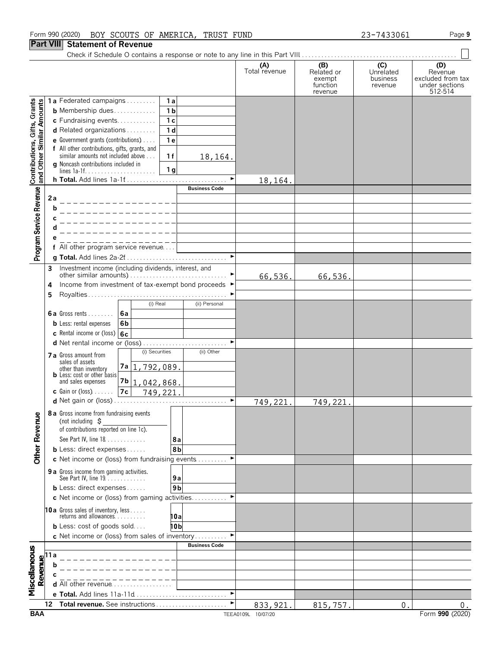#### Form 990 (2020) Page **9** BOY SCOUTS OF AMERICA, TRUST FUND 23-7433061

### **Part VIII Statement of Revenue**

Check if Schedule O contains a response or note to any line in this Part VIII. . . . . . . . . . . . . . . . . . . . . . . . . . . . . . . . . . . . . . . . . . . . . . . . .

|                                                           |                                                                                                             |                                                                     |                |                |                       | (A)<br>Total revenue | (B)<br>Related or             | (C)<br>Unrelated    | (D)<br>Revenue                                 |
|-----------------------------------------------------------|-------------------------------------------------------------------------------------------------------------|---------------------------------------------------------------------|----------------|----------------|-----------------------|----------------------|-------------------------------|---------------------|------------------------------------------------|
|                                                           |                                                                                                             |                                                                     |                |                |                       |                      | exempt<br>function<br>revenue | business<br>revenue | excluded from tax<br>under sections<br>512-514 |
|                                                           |                                                                                                             | 1a Federated campaigns                                              |                | 1a             |                       |                      |                               |                     |                                                |
|                                                           |                                                                                                             | <b>b</b> Membership dues                                            |                | 1 <sub>b</sub> |                       |                      |                               |                     |                                                |
|                                                           |                                                                                                             | c Fundraising events                                                |                | 1c             |                       |                      |                               |                     |                                                |
|                                                           |                                                                                                             | d Related organizations                                             |                | 1 <sub>d</sub> |                       |                      |                               |                     |                                                |
|                                                           |                                                                                                             | e Government grants (contributions)                                 |                | 1e             |                       |                      |                               |                     |                                                |
|                                                           |                                                                                                             | f All other contributions, gifts, grants, and                       |                |                |                       |                      |                               |                     |                                                |
|                                                           |                                                                                                             | similar amounts not included above                                  |                | 1f             | 18,164.               |                      |                               |                     |                                                |
|                                                           |                                                                                                             | <b>g</b> Noncash contributions included in                          |                |                |                       |                      |                               |                     |                                                |
| Contributions, Gifts, Grants<br>and Other Similar Amounts |                                                                                                             |                                                                     |                | 1 <sub>g</sub> |                       |                      |                               |                     |                                                |
|                                                           |                                                                                                             |                                                                     |                |                | <b>Business Code</b>  | 18,164.              |                               |                     |                                                |
|                                                           | 2a                                                                                                          |                                                                     |                |                |                       |                      |                               |                     |                                                |
|                                                           | b                                                                                                           |                                                                     |                |                |                       |                      |                               |                     |                                                |
|                                                           |                                                                                                             |                                                                     |                |                |                       |                      |                               |                     |                                                |
|                                                           |                                                                                                             |                                                                     |                |                |                       |                      |                               |                     |                                                |
|                                                           |                                                                                                             |                                                                     |                |                |                       |                      |                               |                     |                                                |
|                                                           |                                                                                                             | f All other program service revenue                                 |                |                |                       |                      |                               |                     |                                                |
| Program Service Revenue                                   |                                                                                                             |                                                                     |                |                | $\blacktriangleright$ |                      |                               |                     |                                                |
|                                                           | 3                                                                                                           | Investment income (including dividends, interest, and               |                |                |                       |                      |                               |                     |                                                |
|                                                           |                                                                                                             |                                                                     |                |                |                       | 66,536.              | 66,536.                       |                     |                                                |
|                                                           | 4                                                                                                           | Income from investment of tax-exempt bond proceeds ▶                |                |                |                       |                      |                               |                     |                                                |
|                                                           | 5                                                                                                           |                                                                     |                |                |                       |                      |                               |                     |                                                |
|                                                           |                                                                                                             |                                                                     | (i) Real       |                | (ii) Personal         |                      |                               |                     |                                                |
|                                                           |                                                                                                             | 6a<br><b>6a</b> Gross rents $\ldots$                                |                |                |                       |                      |                               |                     |                                                |
|                                                           |                                                                                                             | 6b<br><b>b</b> Less: rental expenses                                |                |                |                       |                      |                               |                     |                                                |
|                                                           |                                                                                                             | c Rental income or (loss) $6c$                                      |                |                |                       |                      |                               |                     |                                                |
|                                                           |                                                                                                             | d Net rental income or (loss)                                       |                |                |                       |                      |                               |                     |                                                |
|                                                           |                                                                                                             | 7 a Gross amount from                                               | (i) Securities |                | (ii) Other            |                      |                               |                     |                                                |
|                                                           |                                                                                                             | sales of assets                                                     | 7a 1,792,089.  |                |                       |                      |                               |                     |                                                |
|                                                           |                                                                                                             | other than inventory<br><b>b</b> Less: cost or other basis          |                |                |                       |                      |                               |                     |                                                |
|                                                           |                                                                                                             | and sales expenses                                                  | 7b 1,042,868.  |                |                       |                      |                               |                     |                                                |
|                                                           |                                                                                                             | <b>c</b> Gain or (loss) $\ldots$ .<br>7c                            |                | 749,221.       |                       |                      |                               |                     |                                                |
|                                                           |                                                                                                             |                                                                     |                |                | ٠                     | 749,221.             | 749,221.                      |                     |                                                |
|                                                           |                                                                                                             | 8 a Gross income from fundraising events                            |                |                |                       |                      |                               |                     |                                                |
| nue                                                       |                                                                                                             | (not including $\zeta$                                              |                |                |                       |                      |                               |                     |                                                |
|                                                           |                                                                                                             | of contributions reported on line 1c).                              |                |                |                       |                      |                               |                     |                                                |
| <b>Other Reve</b>                                         |                                                                                                             | See Part IV, line 18                                                |                | 8a             |                       |                      |                               |                     |                                                |
|                                                           |                                                                                                             | <b>b</b> Less: direct expenses                                      |                | 8b             |                       |                      |                               |                     |                                                |
|                                                           |                                                                                                             | c Net income or (loss) from fundraising events                      |                |                |                       |                      |                               |                     |                                                |
|                                                           |                                                                                                             | 9 a Gross income from gaming activities.<br>See Part IV, line 19.   |                | 9a             |                       |                      |                               |                     |                                                |
|                                                           |                                                                                                             | <b>b</b> Less: direct expenses                                      |                | 9 <sub>b</sub> |                       |                      |                               |                     |                                                |
|                                                           |                                                                                                             | <b>c</b> Net income or (loss) from gaming activities                |                |                |                       |                      |                               |                     |                                                |
|                                                           |                                                                                                             |                                                                     |                |                |                       |                      |                               |                     |                                                |
|                                                           |                                                                                                             | <b>10a</b> Gross sales of inventory, less<br>returns and allowances |                | 10al           |                       |                      |                               |                     |                                                |
|                                                           |                                                                                                             | <b>b</b> Less: cost of goods sold                                   |                | 10b            |                       |                      |                               |                     |                                                |
|                                                           |                                                                                                             | c Net income or (loss) from sales of inventory ►                    |                |                |                       |                      |                               |                     |                                                |
|                                                           |                                                                                                             |                                                                     |                |                | <b>Business Code</b>  |                      |                               |                     |                                                |
| Miscellaneous                                             |                                                                                                             |                                                                     |                |                |                       |                      |                               |                     |                                                |
|                                                           |                                                                                                             |                                                                     |                |                |                       |                      |                               |                     |                                                |
|                                                           | $\begin{array}{c}\n\hline\n\text{Revalue} \\ \hline\n\text{or} \\ \hline\n\text{or} \\ \hline\n\end{array}$ |                                                                     |                |                |                       |                      |                               |                     |                                                |
|                                                           |                                                                                                             | <b>d</b> All other revenue $\ldots \ldots \ldots \ldots \ldots$     |                |                |                       |                      |                               |                     |                                                |
|                                                           |                                                                                                             |                                                                     |                |                |                       |                      |                               |                     |                                                |
|                                                           | 12                                                                                                          | Total revenue. See instructions                                     |                |                |                       | 833, 921             | 815,757.                      | 0                   | 0.                                             |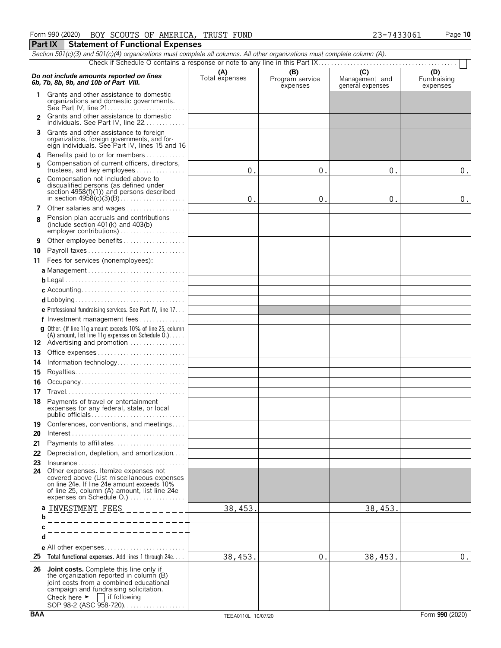|                                                                                                                                                                                                                                 | Section 501(c)(3) and 501(c)(4) organizations must complete all columns. All other organizations must complete column (A).                                                                                                                              |         |    |         |    |  |  |  |  |  |
|---------------------------------------------------------------------------------------------------------------------------------------------------------------------------------------------------------------------------------|---------------------------------------------------------------------------------------------------------------------------------------------------------------------------------------------------------------------------------------------------------|---------|----|---------|----|--|--|--|--|--|
|                                                                                                                                                                                                                                 |                                                                                                                                                                                                                                                         |         |    |         |    |  |  |  |  |  |
| (C)<br>(B)<br>(D)<br>(A)<br>Do not include amounts reported on lines<br>Total expenses<br>Management and<br>Fundraising<br>Program service<br>6b, 7b, 8b, 9b, and 10b of Part VIII.<br>general expenses<br>expenses<br>expenses |                                                                                                                                                                                                                                                         |         |    |         |    |  |  |  |  |  |
| 1                                                                                                                                                                                                                               | Grants and other assistance to domestic<br>organizations and domestic governments.<br>See Part IV, line 21                                                                                                                                              |         |    |         |    |  |  |  |  |  |
| $\mathcal{P}$                                                                                                                                                                                                                   | Grants and other assistance to domestic<br>individuals. See Part IV, line 22                                                                                                                                                                            |         |    |         |    |  |  |  |  |  |
| 3                                                                                                                                                                                                                               | Grants and other assistance to foreign<br>organizations, foreign governments, and for-<br>eign individuals. See Part IV, lines 15 and 16                                                                                                                |         |    |         |    |  |  |  |  |  |
| 4<br>5                                                                                                                                                                                                                          | Benefits paid to or for members<br>Compensation of current officers, directors,<br>trustees, and key employees                                                                                                                                          | 0.      | 0. | 0.      | 0. |  |  |  |  |  |
| 6                                                                                                                                                                                                                               | Compensation not included above to<br>disqualified persons (as defined under<br>section $4958(f)(1)$ and persons described                                                                                                                              | 0.      | 0. | 0.      | 0. |  |  |  |  |  |
| 7                                                                                                                                                                                                                               | Other salaries and wages                                                                                                                                                                                                                                |         |    |         |    |  |  |  |  |  |
| 8                                                                                                                                                                                                                               | Pension plan accruals and contributions<br>(include section $401(k)$ and $403(b)$ )                                                                                                                                                                     |         |    |         |    |  |  |  |  |  |
| 9                                                                                                                                                                                                                               | Other employee benefits                                                                                                                                                                                                                                 |         |    |         |    |  |  |  |  |  |
| 10                                                                                                                                                                                                                              |                                                                                                                                                                                                                                                         |         |    |         |    |  |  |  |  |  |
| 11                                                                                                                                                                                                                              | Fees for services (nonemployees):                                                                                                                                                                                                                       |         |    |         |    |  |  |  |  |  |
|                                                                                                                                                                                                                                 |                                                                                                                                                                                                                                                         |         |    |         |    |  |  |  |  |  |
|                                                                                                                                                                                                                                 |                                                                                                                                                                                                                                                         |         |    |         |    |  |  |  |  |  |
|                                                                                                                                                                                                                                 |                                                                                                                                                                                                                                                         |         |    |         |    |  |  |  |  |  |
|                                                                                                                                                                                                                                 |                                                                                                                                                                                                                                                         |         |    |         |    |  |  |  |  |  |
|                                                                                                                                                                                                                                 |                                                                                                                                                                                                                                                         |         |    |         |    |  |  |  |  |  |
|                                                                                                                                                                                                                                 | e Professional fundraising services. See Part IV, line 17                                                                                                                                                                                               |         |    |         |    |  |  |  |  |  |
|                                                                                                                                                                                                                                 | f Investment management fees                                                                                                                                                                                                                            |         |    |         |    |  |  |  |  |  |
|                                                                                                                                                                                                                                 | <b>g</b> Other. (If line 11q amount exceeds 10% of line 25, column<br>(A) amount, list line 11g expenses on Schedule $0.$ )<br>12 Advertising and promotion                                                                                             |         |    |         |    |  |  |  |  |  |
| 13                                                                                                                                                                                                                              | Office expenses                                                                                                                                                                                                                                         |         |    |         |    |  |  |  |  |  |
|                                                                                                                                                                                                                                 |                                                                                                                                                                                                                                                         |         |    |         |    |  |  |  |  |  |
| 14                                                                                                                                                                                                                              | Information technology                                                                                                                                                                                                                                  |         |    |         |    |  |  |  |  |  |
| 15                                                                                                                                                                                                                              |                                                                                                                                                                                                                                                         |         |    |         |    |  |  |  |  |  |
| 16                                                                                                                                                                                                                              | Occupancy                                                                                                                                                                                                                                               |         |    |         |    |  |  |  |  |  |
| 17                                                                                                                                                                                                                              |                                                                                                                                                                                                                                                         |         |    |         |    |  |  |  |  |  |
| 18                                                                                                                                                                                                                              | Payments of travel or entertainment<br>expenses for any federal, state, or local                                                                                                                                                                        |         |    |         |    |  |  |  |  |  |
| 19<br>20                                                                                                                                                                                                                        | Conferences, conventions, and meetings<br>$Interest \dots \dots \dots \dots \dots \dots \dots \dots \dots \dots \dots \dots \dots \dots$                                                                                                                |         |    |         |    |  |  |  |  |  |
| 21                                                                                                                                                                                                                              | Payments to affiliates                                                                                                                                                                                                                                  |         |    |         |    |  |  |  |  |  |
| 22                                                                                                                                                                                                                              | Depreciation, depletion, and amortization                                                                                                                                                                                                               |         |    |         |    |  |  |  |  |  |
| 23                                                                                                                                                                                                                              | Insurance                                                                                                                                                                                                                                               |         |    |         |    |  |  |  |  |  |
| 24                                                                                                                                                                                                                              | Other expenses. Itemize expenses not<br>covered above (List miscellaneous expenses<br>on line 24e. If line 24e amount exceeds 10%<br>of line 25, column (A) amount, list line 24e<br>expenses on Schedule O.)                                           |         |    |         |    |  |  |  |  |  |
|                                                                                                                                                                                                                                 | a INVESTMENT FEES<br>_________                                                                                                                                                                                                                          | 38,453  |    | 38,453. |    |  |  |  |  |  |
| b                                                                                                                                                                                                                               |                                                                                                                                                                                                                                                         |         |    |         |    |  |  |  |  |  |
|                                                                                                                                                                                                                                 | __________                                                                                                                                                                                                                                              |         |    |         |    |  |  |  |  |  |
|                                                                                                                                                                                                                                 | __________________                                                                                                                                                                                                                                      |         |    |         |    |  |  |  |  |  |
|                                                                                                                                                                                                                                 | ----------------<br>e All other expenses                                                                                                                                                                                                                |         |    |         |    |  |  |  |  |  |
| 25                                                                                                                                                                                                                              | Total functional expenses. Add lines 1 through 24e                                                                                                                                                                                                      |         |    |         |    |  |  |  |  |  |
|                                                                                                                                                                                                                                 |                                                                                                                                                                                                                                                         | 38,453. | 0. | 38,453. | 0. |  |  |  |  |  |
|                                                                                                                                                                                                                                 | 26 Joint costs. Complete this line only if<br>the organization reported in column (B)<br>joint costs from a combined educational<br>campaign and fundraising solicitation.<br>Check here $\blacktriangleright$   if following<br>SOP 98-2 (ASC 958-720) |         |    |         |    |  |  |  |  |  |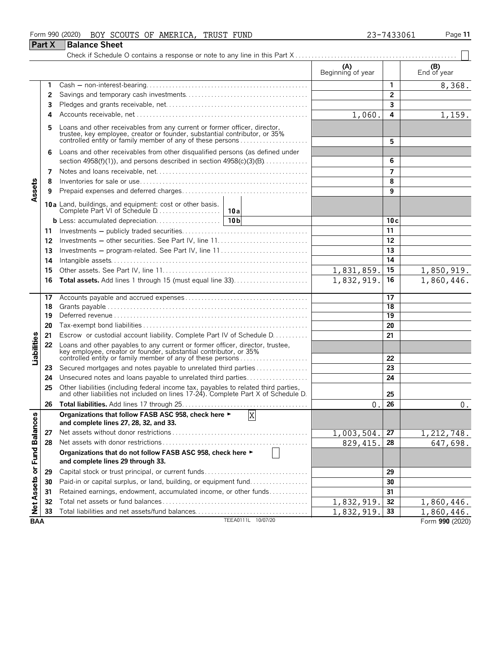#### Form 990 (2020) BOY SCOUTS OF AMERICA, TRUST FUND 23-7433061 Page 11

|                             | <b>Part X</b> | <b>Balance Sheet</b>                                                                                                                                                                                            |                          |                 |                                 |
|-----------------------------|---------------|-----------------------------------------------------------------------------------------------------------------------------------------------------------------------------------------------------------------|--------------------------|-----------------|---------------------------------|
|                             |               |                                                                                                                                                                                                                 |                          |                 |                                 |
|                             |               |                                                                                                                                                                                                                 | (A)<br>Beginning of year |                 | (B)<br>End of year              |
|                             | 1             |                                                                                                                                                                                                                 |                          | $\mathbf{1}$    | 8,368.                          |
|                             | 2             |                                                                                                                                                                                                                 |                          | $\overline{2}$  |                                 |
|                             | 3             |                                                                                                                                                                                                                 |                          | 3               |                                 |
|                             | 4             |                                                                                                                                                                                                                 | 1,060.                   | 4               | 1,159.                          |
|                             | 5             | Loans and other receivables from any current or former officer, director, trustee, key employee, creator or founder, substantial contributor, or 35% controlled entity or family member of any of these persons |                          | 5               |                                 |
|                             | 6             | Loans and other receivables from other disqualified persons (as defined under<br>section $4958(f)(1)$ , and persons described in section $4958(c)(3)(B)$                                                        |                          | 6               |                                 |
|                             | 7             |                                                                                                                                                                                                                 |                          | 7               |                                 |
|                             | 8             |                                                                                                                                                                                                                 |                          | 8               |                                 |
| Assets                      | 9             |                                                                                                                                                                                                                 |                          | 9               |                                 |
|                             |               |                                                                                                                                                                                                                 |                          |                 |                                 |
|                             |               |                                                                                                                                                                                                                 |                          | 10c             |                                 |
|                             | 11            |                                                                                                                                                                                                                 |                          | 11              |                                 |
|                             | 12            |                                                                                                                                                                                                                 |                          | 12              |                                 |
|                             | 13            | Investments – program-related. See Part IV, line 11                                                                                                                                                             |                          | 13              |                                 |
|                             | 14            |                                                                                                                                                                                                                 |                          | 14              |                                 |
|                             | 15            |                                                                                                                                                                                                                 | 1,831,859.               | 15              | $\frac{1,850,919.}{1,860,446.}$ |
|                             | 16            |                                                                                                                                                                                                                 | 1,832,919.               | 16              |                                 |
|                             | 17            |                                                                                                                                                                                                                 |                          | 17              |                                 |
|                             | 18            |                                                                                                                                                                                                                 |                          | 18              |                                 |
|                             | 19            |                                                                                                                                                                                                                 |                          | $\overline{19}$ |                                 |
|                             | 20            |                                                                                                                                                                                                                 |                          | 20              |                                 |
|                             | 21            | Escrow or custodial account liability. Complete Part IV of Schedule D.                                                                                                                                          |                          | 21              |                                 |
| Liabilities                 | 22            | Loans and other payables to any current or former officer, director, trustee, key employee, creator or founder, substantial contributor, or 35%<br>controlled entity or family member of any of these persons   |                          | 22              |                                 |
|                             | 23            | Secured mortgages and notes payable to unrelated third parties                                                                                                                                                  |                          | 23              |                                 |
|                             | 24            | Unsecured notes and loans payable to unrelated third parties                                                                                                                                                    |                          | 24              |                                 |
|                             | 25            | Other liabilities (including federal income tax, payables to related third parties, and other liabilities not included on lines 17-24). Complete Part X of Schedule D.                                          |                          | 25              |                                 |
|                             | 26            |                                                                                                                                                                                                                 | $\theta$ .               | 26              | $0$ .                           |
|                             |               | Organizations that follow FASB ASC 958, check here ►<br>X<br>and complete lines 27, 28, 32, and 33.                                                                                                             |                          |                 |                                 |
|                             | 27            |                                                                                                                                                                                                                 | 1,003,504.               | 27              | 1,212,748.                      |
|                             | 28            |                                                                                                                                                                                                                 | 829, 415.                | 28              | 647,698.                        |
| Net Assets or Fund Balances |               | Organizations that do not follow FASB ASC 958, check here ►<br>and complete lines 29 through 33.                                                                                                                |                          |                 |                                 |
|                             | 29            | Capital stock or trust principal, or current funds                                                                                                                                                              |                          | 29              |                                 |
|                             | 30            | Paid-in or capital surplus, or land, building, or equipment fund                                                                                                                                                |                          | 30              |                                 |
|                             | 31            | Retained earnings, endowment, accumulated income, or other funds                                                                                                                                                |                          | 31              |                                 |
|                             | 32            |                                                                                                                                                                                                                 | 1,832,919.               | 32              | 1,860,446.                      |
|                             | 33            | Total liabilities and net assets/fund balances                                                                                                                                                                  | 1,832,919.               | 33              | 1,860,446.                      |
| <b>BAA</b>                  |               | TEEA0111L 10/07/20                                                                                                                                                                                              |                          |                 | Form 990 (2020)                 |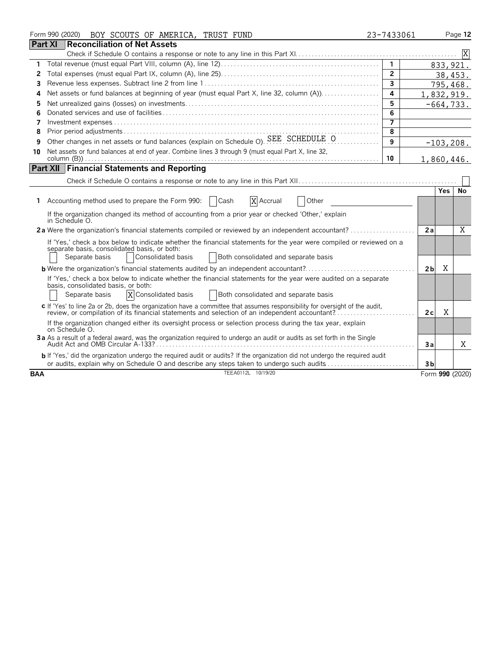|            | Form 990 (2020) BOY SCOUTS OF AMERICA, TRUST FUND                                                                                                                                                                             | 23-7433061     |                |            | Page 12         |
|------------|-------------------------------------------------------------------------------------------------------------------------------------------------------------------------------------------------------------------------------|----------------|----------------|------------|-----------------|
|            | <b>Part XI</b><br>Reconciliation of Net Assets                                                                                                                                                                                |                |                |            |                 |
|            |                                                                                                                                                                                                                               |                |                |            |                 |
| 1          |                                                                                                                                                                                                                               | $\mathbf{1}$   |                |            | 833, 921.       |
| 2          |                                                                                                                                                                                                                               | $\overline{2}$ |                |            | 38,453.         |
| 3          |                                                                                                                                                                                                                               | $\overline{3}$ |                |            | 795,468.        |
| 4          | Net assets or fund balances at beginning of year (must equal Part X, line 32, column (A))                                                                                                                                     | 4              | 1,832,919.     |            |                 |
| 5          |                                                                                                                                                                                                                               | 5              |                |            | $-664, 733.$    |
| 6          |                                                                                                                                                                                                                               | 6              |                |            |                 |
| 7          |                                                                                                                                                                                                                               | 7              |                |            |                 |
| 8          |                                                                                                                                                                                                                               | 8              |                |            |                 |
| 9          | Other changes in net assets or fund balances (explain on Schedule O). SEE SCHEDULE O                                                                                                                                          | 9              |                |            | $-103, 208.$    |
| 10         | Net assets or fund balances at end of year. Combine lines 3 through 9 (must equal Part X, line 32,                                                                                                                            |                |                |            |                 |
|            |                                                                                                                                                                                                                               | 10             | 1,860,446.     |            |                 |
|            | <b>Part XII Financial Statements and Reporting</b>                                                                                                                                                                            |                |                |            |                 |
|            |                                                                                                                                                                                                                               |                |                |            |                 |
|            |                                                                                                                                                                                                                               |                |                | <b>Yes</b> | No              |
| 1.         | Accounting method used to prepare the Form 990:<br>Cash<br>X Accrual<br>Other                                                                                                                                                 |                |                |            |                 |
|            | If the organization changed its method of accounting from a prior year or checked 'Other,' explain                                                                                                                            |                |                |            |                 |
|            | in Schedule O.                                                                                                                                                                                                                |                |                |            |                 |
|            | 2a Were the organization's financial statements compiled or reviewed by an independent accountant?                                                                                                                            |                | 2a             |            | X               |
|            | If 'Yes,' check a box below to indicate whether the financial statements for the year were compiled or reviewed on a                                                                                                          |                |                |            |                 |
|            | separate basis, consolidated basis, or both:                                                                                                                                                                                  |                |                |            |                 |
|            | Separate basis<br>Consolidated basis<br>Both consolidated and separate basis                                                                                                                                                  |                |                |            |                 |
|            | <b>b</b> Were the organization's financial statements audited by an independent accountant?                                                                                                                                   |                | 2 <sub>b</sub> | X          |                 |
|            | If 'Yes,' check a box below to indicate whether the financial statements for the year were audited on a separate                                                                                                              |                |                |            |                 |
|            | basis, consolidated basis, or both:<br>X Consolidated basis<br>Separate basis<br>Both consolidated and separate basis                                                                                                         |                |                |            |                 |
|            |                                                                                                                                                                                                                               |                |                |            |                 |
|            | c If 'Yes' to line 2a or 2b, does the organization have a committee that assumes responsibility for oversight of the audit,<br>review, or compilation of its financial statements and selection of an independent accountant? |                | 2c             | X          |                 |
|            | If the organization changed either its oversight process or selection process during the tax year, explain                                                                                                                    |                |                |            |                 |
|            | on Schedule O.                                                                                                                                                                                                                |                |                |            |                 |
|            | 3a As a result of a federal award, was the organization required to undergo an audit or audits as set forth in the Single                                                                                                     |                |                |            |                 |
|            |                                                                                                                                                                                                                               |                | 3a             |            | X               |
|            | b If 'Yes,' did the organization undergo the required audit or audits? If the organization did not undergo the required audit                                                                                                 |                |                |            |                 |
|            | or audits, explain why on Schedule O and describe any steps taken to undergo such audits<br>TEEA0112L 10/19/20                                                                                                                |                | 3 <sub>b</sub> |            |                 |
| <b>BAA</b> |                                                                                                                                                                                                                               |                |                |            | Form 990 (2020) |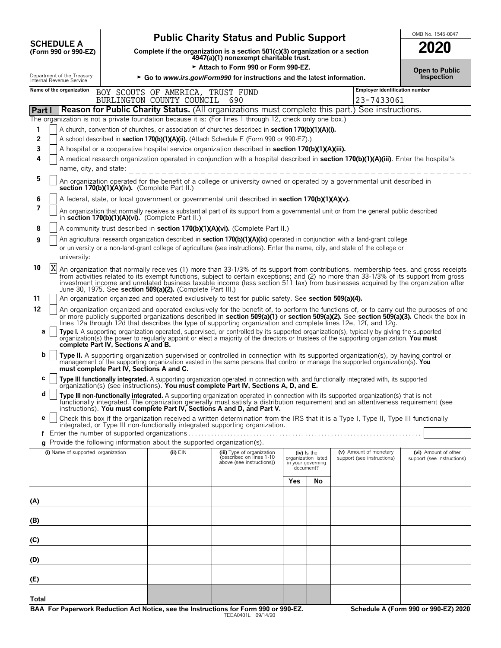|                |    |                                                        | <b>Public Charity Status and Public Support</b>                                                                                                                                                                                                                                                                                                                                                                                                                                  |                                       | OMB No. 1545-0047     |
|----------------|----|--------------------------------------------------------|----------------------------------------------------------------------------------------------------------------------------------------------------------------------------------------------------------------------------------------------------------------------------------------------------------------------------------------------------------------------------------------------------------------------------------------------------------------------------------|---------------------------------------|-----------------------|
|                |    | <b>SCHEDULE A</b>                                      |                                                                                                                                                                                                                                                                                                                                                                                                                                                                                  |                                       | 2020                  |
|                |    | (Form 990 or 990-EZ)                                   | Complete if the organization is a section $501(c)(3)$ organization or a section<br>4947(a)(1) nonexempt charitable trust.                                                                                                                                                                                                                                                                                                                                                        |                                       |                       |
|                |    |                                                        | Attach to Form 990 or Form 990-EZ.                                                                                                                                                                                                                                                                                                                                                                                                                                               |                                       | <b>Open to Public</b> |
|                |    | Department of the Treasury<br>Internal Revenue Service | ► Go to www.irs.gov/Form990 for instructions and the latest information.                                                                                                                                                                                                                                                                                                                                                                                                         |                                       | <b>Inspection</b>     |
|                |    | Name of the organization                               | BOY SCOUTS OF AMERICA, TRUST FUND                                                                                                                                                                                                                                                                                                                                                                                                                                                | <b>Employer identification number</b> |                       |
|                |    |                                                        | BURLINGTON COUNTY COUNCIL<br>690                                                                                                                                                                                                                                                                                                                                                                                                                                                 | 23-7433061                            |                       |
| <b>Part I</b>  |    |                                                        | <b>Reason for Public Charity Status.</b> (All organizations must complete this part.) See instructions.                                                                                                                                                                                                                                                                                                                                                                          |                                       |                       |
|                |    |                                                        | The organization is not a private foundation because it is: (For lines 1 through 12, check only one box.)                                                                                                                                                                                                                                                                                                                                                                        |                                       |                       |
| 1              |    |                                                        | A church, convention of churches, or association of churches described in section 170(b)(1)(A)(i).                                                                                                                                                                                                                                                                                                                                                                               |                                       |                       |
| $\overline{2}$ |    |                                                        | A school described in section 170(b)(1)(A)(ii). (Attach Schedule E (Form 990 or 990-EZ).)                                                                                                                                                                                                                                                                                                                                                                                        |                                       |                       |
| 3              |    |                                                        | A hospital or a cooperative hospital service organization described in section 170(b)(1)(A)(iii).                                                                                                                                                                                                                                                                                                                                                                                |                                       |                       |
| 4              |    | name, city, and state:                                 | A medical research organization operated in conjunction with a hospital described in section 170(b)(1)(A)(iii). Enter the hospital's                                                                                                                                                                                                                                                                                                                                             |                                       |                       |
| 5              |    |                                                        |                                                                                                                                                                                                                                                                                                                                                                                                                                                                                  |                                       |                       |
|                |    |                                                        | An organization operated for the benefit of a college or university owned or operated by a governmental unit described in<br>section 170(b)(1)(A)(iv). (Complete Part II.)                                                                                                                                                                                                                                                                                                       |                                       |                       |
| 6              |    |                                                        | A federal, state, or local government or governmental unit described in section 170(b)(1)(A)(v).                                                                                                                                                                                                                                                                                                                                                                                 |                                       |                       |
| 7              |    |                                                        | An organization that normally receives a substantial part of its support from a governmental unit or from the general public described<br>in section 170(b)(1)(A)(vi). (Complete Part II.)                                                                                                                                                                                                                                                                                       |                                       |                       |
| 8              |    |                                                        | A community trust described in section 170(b)(1)(A)(vi). (Complete Part II.)                                                                                                                                                                                                                                                                                                                                                                                                     |                                       |                       |
| 9              |    |                                                        | An agricultural research organization described in section 170(b)(1)(A)(ix) operated in conjunction with a land-grant college                                                                                                                                                                                                                                                                                                                                                    |                                       |                       |
|                |    |                                                        | or university or a non-land-grant college of agriculture (see instructions). Enter the name, city, and state of the college or                                                                                                                                                                                                                                                                                                                                                   |                                       |                       |
|                |    | university:                                            |                                                                                                                                                                                                                                                                                                                                                                                                                                                                                  |                                       |                       |
| 10             | ΙX |                                                        | An organization that normally receives (1) more than 33-1/3% of its support from contributions, membership fees, and gross receipts<br>from activities related to its exempt functions, subject to certain exceptions; and (2) no more than 33-1/3% of its support from gross<br>investment income and unrelated business taxable income (less section 511 tax) from businesses acquired by the organization after<br>June 30, 1975. See section 509(a)(2). (Complete Part III.) |                                       |                       |
| 11             |    |                                                        | An organization organized and operated exclusively to test for public safety. See section 509(a)(4).                                                                                                                                                                                                                                                                                                                                                                             |                                       |                       |
| 12             |    |                                                        | An organization organized and operated exclusively for the benefit of, to perform the functions of, or to carry out the purposes of one<br>or more publicly supported organizations described in <b>section 509(a)(1)</b> or <b>section 509(a)(2).</b> See <b>section 509(a)(3).</b> Check the box in<br>lines 12a through 12d that describes the type of supporting organization and complete lines 12e, 12f, and 12g.                                                          |                                       |                       |
| a              |    |                                                        | Type I. A supporting organization operated, supervised, or controlled by its supported organization(s), typically by giving the supported organization(s) the power to regularly appoint or elect a majority of the directors<br>complete Part IV, Sections A and B.                                                                                                                                                                                                             |                                       |                       |
| b              |    |                                                        | Type II. A supporting organization supervised or controlled in connection with its supported organization(s), by having control or management of the supporting organization (s). You<br>must complete Part IV, Sections A and C.                                                                                                                                                                                                                                                |                                       |                       |

|  | C $\Box$ Type III functionally integrated. A supporting organization operated in connection with, and functionally integrated with, its supported $\Box$ organization(s) (see instructions). You must complete Part IV, Sections |
|--|----------------------------------------------------------------------------------------------------------------------------------------------------------------------------------------------------------------------------------|
|  |                                                                                                                                                                                                                                  |

| $\mathsf{d}$   Type III non-functionally integrated. A supporting organization operated in connection with its supported organization(s) that is not |  |
|------------------------------------------------------------------------------------------------------------------------------------------------------|--|
| functionally integrated. The organization generally must satisfy a distribution requirement and an attentiveness requirement (see                    |  |
| instructions). You must complete Part IV, Sections A and D, and Part V.                                                                              |  |

|  | e   Check this box if the organization received a written determination from the IRS that it is a Type I, Type II, Type III functionally |
|--|------------------------------------------------------------------------------------------------------------------------------------------|
|  | integrated, or Type III non-functionally integrated supporting organization.                                                             |

| <b>g</b> Provide the following information about the supported organization(s). |  |  |  |
|---------------------------------------------------------------------------------|--|--|--|
|                                                                                 |  |  |  |

| (i) Name of supported organization | (ii) $EIN$ | (iii) Type of organization<br>(described on lines 1-10<br>above (see instructions)) | (iv) Is the<br>organization listed<br>in your governing<br>document? |    | (v) Amount of monetary<br>support (see instructions) | (vi) Amount of other<br>support (see instructions) |
|------------------------------------|------------|-------------------------------------------------------------------------------------|----------------------------------------------------------------------|----|------------------------------------------------------|----------------------------------------------------|
|                                    |            |                                                                                     | <b>Yes</b>                                                           | No |                                                      |                                                    |
| (A)                                |            |                                                                                     |                                                                      |    |                                                      |                                                    |
| (B)                                |            |                                                                                     |                                                                      |    |                                                      |                                                    |
| (C)                                |            |                                                                                     |                                                                      |    |                                                      |                                                    |
| (D)                                |            |                                                                                     |                                                                      |    |                                                      |                                                    |
| (E)                                |            |                                                                                     |                                                                      |    |                                                      |                                                    |
| Total                              |            |                                                                                     |                                                                      |    |                                                      |                                                    |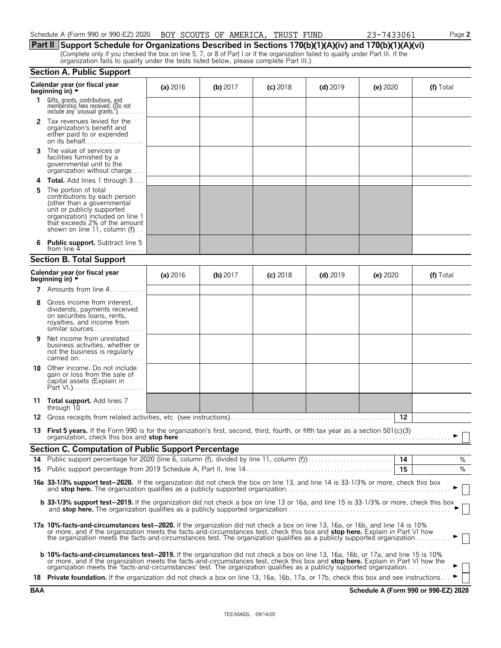| Schedule A (Form 990 or 990-EZ) 2020 BOY SCOUTS OF AMERICA, TRUST FUND |  |  |  | 23-7433061 |
|------------------------------------------------------------------------|--|--|--|------------|
|                                                                        |  |  |  |            |

**Part II Support Schedule for Organizations Described in Sections 170(b)(1)(A)(iv) and 170(b)(1)(A)(vi)** (Complete only if you checked the box on line 5, 7, or 8 of Part I or if the organization failed to qualify under Part III. If the organization fails to qualify under the tests listed below, please complete Part III.)

#### **Section A. Public Support**

|    | Calendar year (or fiscal year<br>beginning in) $\blacktriangleright$                                                                                                                                                                                                                                                                                                                                    | (a) 2016 | (b) $2017$ | $(c)$ 2018 | $(d)$ 2019 | (e) 2020   | (f) Total |
|----|---------------------------------------------------------------------------------------------------------------------------------------------------------------------------------------------------------------------------------------------------------------------------------------------------------------------------------------------------------------------------------------------------------|----------|------------|------------|------------|------------|-----------|
| 1. | Gifts, grants, contributions, and<br>membership fees received. (Do not<br>include any 'unusual grants.'). $\ldots$                                                                                                                                                                                                                                                                                      |          |            |            |            |            |           |
|    | 2 Tax revenues levied for the<br>organization's benefit and<br>either paid to or expended                                                                                                                                                                                                                                                                                                               |          |            |            |            |            |           |
| 3  | The value of services or<br>facilities furnished by a<br>governmental unit to the<br>organization without charge                                                                                                                                                                                                                                                                                        |          |            |            |            |            |           |
|    | Total. Add lines 1 through 3                                                                                                                                                                                                                                                                                                                                                                            |          |            |            |            |            |           |
| 5  | The portion of total<br>contributions by each person<br>(other than a governmental<br>unit or publicly supported<br>organization) included on line 1<br>that exceeds 2% of the amount<br>shown on line 11, column $(f)$                                                                                                                                                                                 |          |            |            |            |            |           |
| 6. | <b>Public support.</b> Subtract line 5<br>from line $4$                                                                                                                                                                                                                                                                                                                                                 |          |            |            |            |            |           |
|    | <b>Section B. Total Support</b>                                                                                                                                                                                                                                                                                                                                                                         |          |            |            |            |            |           |
|    | Calendar year (or fiscal year<br>beginning in) $\rightarrow$                                                                                                                                                                                                                                                                                                                                            | (a) 2016 | $(b)$ 2017 | $(c)$ 2018 | $(d)$ 2019 | (e) $2020$ | (f) Total |
|    | <b>7</b> Amounts from line $4$                                                                                                                                                                                                                                                                                                                                                                          |          |            |            |            |            |           |
| 8  | Gross income from interest,<br>dividends, payments received<br>on securities loans, rents,<br>royalties, and income from<br>similar sources                                                                                                                                                                                                                                                             |          |            |            |            |            |           |
| 9  | Net income from unrelated<br>business activities, whether or<br>not the business is regularly<br>carried on                                                                                                                                                                                                                                                                                             |          |            |            |            |            |           |
| 10 | Other income. Do not include<br>gain or loss from the sale of<br>capital assets (Explain in                                                                                                                                                                                                                                                                                                             |          |            |            |            |            |           |
|    | 11 <b>Total support.</b> Add lines 7                                                                                                                                                                                                                                                                                                                                                                    |          |            |            |            |            |           |
| 12 |                                                                                                                                                                                                                                                                                                                                                                                                         |          |            |            |            | 12         |           |
|    | 13 First 5 years. If the Form 990 is for the organization's first, second, third, fourth, or fifth tax year as a section 501(c)(3)                                                                                                                                                                                                                                                                      |          |            |            |            |            |           |
|    | <b>Section C. Computation of Public Support Percentage</b>                                                                                                                                                                                                                                                                                                                                              |          |            |            |            |            |           |
|    |                                                                                                                                                                                                                                                                                                                                                                                                         |          |            |            |            |            | %         |
|    |                                                                                                                                                                                                                                                                                                                                                                                                         |          |            |            |            | 15         | %         |
|    | 16a 33-1/3% support test-2020. If the organization did not check the box on line 13, and line 14 is 33-1/3% or more, check this box                                                                                                                                                                                                                                                                     |          |            |            |            |            |           |
|    | <b>b 33-1/3% support test-2019.</b> If the organization did not check a box on line 13 or 16a, and line 15 is 33-1/3% or more, check this box                                                                                                                                                                                                                                                           |          |            |            |            |            |           |
|    | 17a 10%-facts-and-circumstances test-2020. If the organization did not check a box on line 13, 16a, or 16b, and line 14 is 10%<br>or more, and if the organization meets the facts-and-circumstances test, check this box and stop here. Explain in Part VI how<br>the organization meets the facts-and-circumstances test. The organization qualifies as a publicly supported organization.            |          |            |            |            |            |           |
|    | <b>b 10%-facts-and-circumstances test-2019.</b> If the organization did not check a box on line 13, 16a, 16b, or 17a, and line 15 is 10%<br>or more, and if the organization meets the facts-and-circumstances test, check this box and stop here. Explain in Part VI how the<br>organization meets the 'facts-and-circumstances' test. The organization qualifies as a publicly supported organization |          |            |            |            |            |           |
|    | 18 Private foundation. If the organization did not check a box on line 13, 16a, 16b, 17a, or 17b, check this box and see instructions                                                                                                                                                                                                                                                                   |          |            |            |            |            |           |

Schedule A (Form 990 or 990-EZ) 2020 Page **2**

|  |  | (Complete only if you checked the box on line 5, 7, or 8 of Part I or if the |  |  |  |
|--|--|------------------------------------------------------------------------------|--|--|--|
|  |  |                                                                              |  |  |  |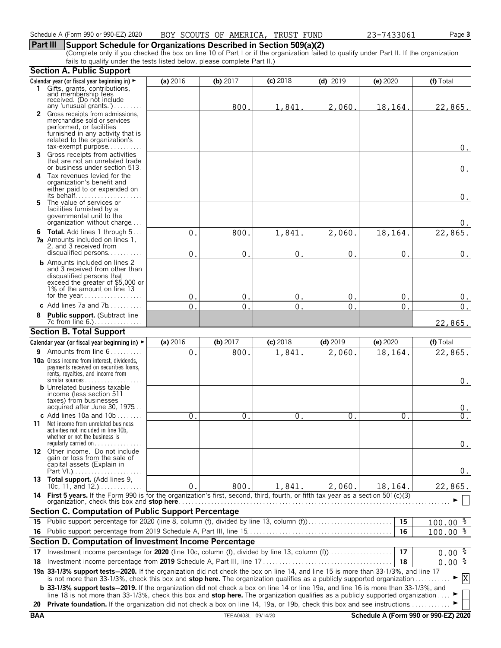# **Part III Support Schedule for Organizations Described in Section 509(a)(2)**

(Complete only if you checked the box on line 10 of Part I or if the organization failed to qualify under Part II. If the organization fails to qualify under the tests listed below, please complete Part II.)

|            | <b>Section A. Public Support</b>                                                                                                                                                                                                                                              |                |                    |                |                |                |                                      |
|------------|-------------------------------------------------------------------------------------------------------------------------------------------------------------------------------------------------------------------------------------------------------------------------------|----------------|--------------------|----------------|----------------|----------------|--------------------------------------|
|            | Calendar year (or fiscal year beginning in) ►                                                                                                                                                                                                                                 | (a) 2016       | (b) $2017$         | (c) 2018       | $(d)$ 2019     | (e) 2020       | (f) Total                            |
|            | 1 Gifts, grants, contributions,                                                                                                                                                                                                                                               |                |                    |                |                |                |                                      |
|            | and membership fees<br>received. (Do not include                                                                                                                                                                                                                              |                |                    |                |                |                |                                      |
|            | any 'unusual grants.')<br>2 Gross receipts from admissions,                                                                                                                                                                                                                   |                | 800                | 1,841          | 2,060.         | 18,164.        | 22,865.                              |
|            | merchandise sold or services                                                                                                                                                                                                                                                  |                |                    |                |                |                |                                      |
|            | performed, or facilities<br>furnished in any activity that is                                                                                                                                                                                                                 |                |                    |                |                |                |                                      |
|            | related to the organization's                                                                                                                                                                                                                                                 |                |                    |                |                |                |                                      |
|            | $tax\text{-}exempt$ purpose                                                                                                                                                                                                                                                   |                |                    |                |                |                | 0.                                   |
| 3          | Gross receipts from activities                                                                                                                                                                                                                                                |                |                    |                |                |                |                                      |
|            | that are not an unrelated trade<br>or business under section 513.                                                                                                                                                                                                             |                |                    |                |                |                | $0$ .                                |
|            | 4 Tax revenues levied for the                                                                                                                                                                                                                                                 |                |                    |                |                |                |                                      |
|            | organization's benefit and                                                                                                                                                                                                                                                    |                |                    |                |                |                |                                      |
|            | either paid to or expended on                                                                                                                                                                                                                                                 |                |                    |                |                |                | 0.                                   |
| 5.         | The value of services or                                                                                                                                                                                                                                                      |                |                    |                |                |                |                                      |
|            | facilities furnished by a                                                                                                                                                                                                                                                     |                |                    |                |                |                |                                      |
|            | governmental unit to the<br>organization without charge                                                                                                                                                                                                                       |                |                    |                |                |                | 0.                                   |
|            | <b>6 Total.</b> Add lines 1 through 5                                                                                                                                                                                                                                         | $\mathbf{0}$ . | 800                | 1,841          | 2,060          | 18,164.        | 22,865.                              |
|            | <b>7a</b> Amounts included on lines 1,                                                                                                                                                                                                                                        |                |                    |                |                |                |                                      |
|            | 2, and 3 received from<br>disqualified persons                                                                                                                                                                                                                                |                |                    |                |                |                |                                      |
|            | <b>b</b> Amounts included on lines 2                                                                                                                                                                                                                                          | $\overline{0}$ | $\pmb{0}$          | $\mathbf 0$    | 0              | $\mathbf{0}$ . | 0.                                   |
|            | and 3 received from other than                                                                                                                                                                                                                                                |                |                    |                |                |                |                                      |
|            | disqualified persons that                                                                                                                                                                                                                                                     |                |                    |                |                |                |                                      |
|            | exceed the greater of \$5,000 or<br>1% of the amount on line 13                                                                                                                                                                                                               |                |                    |                |                |                |                                      |
|            |                                                                                                                                                                                                                                                                               | $\mathbf{0}$   | $\mathbf 0$        | $0$ .          | $\mathbf{0}$   | 0.             | 0.                                   |
|            | c Add lines 7a and $7b$                                                                                                                                                                                                                                                       | $\Omega$       | 0                  | $\mathbf{0}$   | $\overline{0}$ | $\mathbf 0$ .  | $0$ .                                |
|            | Public support. (Subtract line                                                                                                                                                                                                                                                |                |                    |                |                |                |                                      |
|            |                                                                                                                                                                                                                                                                               |                |                    |                |                |                | 22,865.                              |
|            | <b>Section B. Total Support</b>                                                                                                                                                                                                                                               |                |                    |                |                |                |                                      |
|            | Calendar year (or fiscal year beginning in) ►                                                                                                                                                                                                                                 | (a) 2016       | (b) 2017           | $(c)$ 2018     | $(d)$ 2019     | (e) $2020$     | (f) Total                            |
|            | 9 Amounts from line 6                                                                                                                                                                                                                                                         | $0$ .          | 800.               | 1,841.         | 2,060.         | 18,164.        | 22,865.                              |
|            | 10a Gross income from interest, dividends,<br>payments received on securities loans,                                                                                                                                                                                          |                |                    |                |                |                |                                      |
|            | rents, royalties, and income from                                                                                                                                                                                                                                             |                |                    |                |                |                |                                      |
|            | $similar$ sources<br><b>b</b> Unrelated business taxable                                                                                                                                                                                                                      |                |                    |                |                |                | 0.                                   |
|            | income (less section 511                                                                                                                                                                                                                                                      |                |                    |                |                |                |                                      |
|            | taxes) from businesses<br>acquired after June 30, 1975                                                                                                                                                                                                                        |                |                    |                |                |                |                                      |
|            | c Add lines $10a$ and $10b$                                                                                                                                                                                                                                                   | 0              | $\Omega$           | $\mathbf{0}$ . | $\mathbf{0}$ . | 0.             | υ.<br>0.                             |
|            | <b>11</b> Net income from unrelated business                                                                                                                                                                                                                                  |                |                    |                |                |                |                                      |
|            | activities not included in line 10b,                                                                                                                                                                                                                                          |                |                    |                |                |                |                                      |
|            | whether or not the business is<br>regularly carried on $\dots\dots\dots\dots$                                                                                                                                                                                                 |                |                    |                |                |                | 0.                                   |
|            | 12 Other income. Do not include                                                                                                                                                                                                                                               |                |                    |                |                |                |                                      |
|            | gain or loss from the sale of                                                                                                                                                                                                                                                 |                |                    |                |                |                |                                      |
|            | capital assets (Explain in                                                                                                                                                                                                                                                    |                |                    |                |                |                | 0.                                   |
|            | 13 Total support. (Add lines 9,                                                                                                                                                                                                                                               |                |                    |                |                |                |                                      |
|            | 10c, 11, and $12.$ )                                                                                                                                                                                                                                                          | $\mathbf{0}$ . | 800.               | 1,841.         | 2,060.         | 18,164.        | 22,865.                              |
|            | 14 First 5 years. If the Form 990 is for the organization's first, second, third, fourth, or fifth tax year as a section 501(c)(3)<br>organization, check this box and stop here                                                                                              |                |                    |                |                |                |                                      |
|            | <b>Section C. Computation of Public Support Percentage</b>                                                                                                                                                                                                                    |                |                    |                |                |                |                                      |
| 15         | Public support percentage for 2020 (line 8, column (f), divided by line 13, column (f)                                                                                                                                                                                        |                |                    |                |                | 15             | $100.00$ $\frac{8}{5}$               |
| 16         |                                                                                                                                                                                                                                                                               |                |                    |                |                | 16             | $100.00$ %                           |
|            | Section D. Computation of Investment Income Percentage                                                                                                                                                                                                                        |                |                    |                |                |                |                                      |
| 17         |                                                                                                                                                                                                                                                                               |                |                    |                |                | 17             | $0.00$ $\frac{8}{3}$                 |
| 18         |                                                                                                                                                                                                                                                                               |                |                    |                |                | 18             | $0.00\frac{8}{3}$                    |
|            | 19a 33-1/3% support tests-2020. If the organization did not check the box on line 14, and line 15 is more than 33-1/3%, and line 17                                                                                                                                           |                |                    |                |                |                |                                      |
|            | is not more than 33-1/3%, check this box and stop here. The organization qualifies as a publicly supported organization                                                                                                                                                       |                |                    |                |                |                | X                                    |
|            | <b>b</b> 33-1/3% support tests-2019. If the organization did not check a box on line 14 or line 19a, and line 16 is more than 33-1/3%, and<br>line 18 is not more than 33-1/3%, check this box and stop here. The organization qualifies as a publicly supported organization |                |                    |                |                |                |                                      |
| 20         | <b>Private foundation.</b> If the organization did not check a box on line 14, 19a, or 19b, check this box and see instructions                                                                                                                                               |                |                    |                |                |                |                                      |
| <b>BAA</b> |                                                                                                                                                                                                                                                                               |                | TEEA0403L 09/14/20 |                |                |                | Schedule A (Form 990 or 990-EZ) 2020 |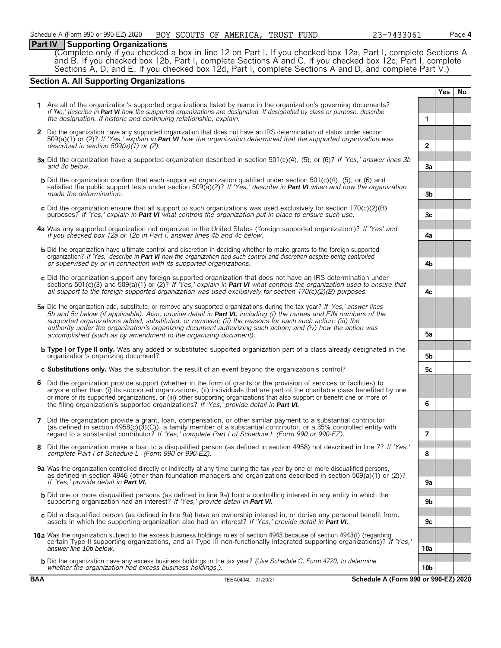# **Part IV Supporting Organizations**

(Complete only if you checked a box in line 12 on Part I. If you checked box 12a, Part I, complete Sections A and B. If you checked box 12b, Part I, complete Sections A and C. If you checked box 12c, Part I, complete Sections A, D, and E. If you checked box 12d, Part I, complete Sections A and D, and complete Part V.)

# **Section A. All Supporting Organizations**

|   |                                                                                                                                                                                                                                                                                                                                                                                                                                                                                                                                              |                 | Yes | No |
|---|----------------------------------------------------------------------------------------------------------------------------------------------------------------------------------------------------------------------------------------------------------------------------------------------------------------------------------------------------------------------------------------------------------------------------------------------------------------------------------------------------------------------------------------------|-----------------|-----|----|
|   | 1 Are all of the organization's supported organizations listed by name in the organization's governing documents?<br>If 'No,' describe in <b>Part VI</b> how the supported organizations are designated. If designated by class or purpose, describe<br>the designation. If historic and continuing relationship, explain.                                                                                                                                                                                                                   | 1               |     |    |
|   | 2 Did the organization have any supported organization that does not have an IRS determination of status under section<br>509(a)(1) or (2)? If 'Yes,' explain in <b>Part VI</b> how the organization determined that the supported organization was<br>described in section $509(a)(1)$ or (2).                                                                                                                                                                                                                                              | $\overline{2}$  |     |    |
|   | 3a Did the organization have a supported organization described in section 501(c)(4), (5), or (6)? If 'Yes,' answer lines 3b<br>and 3c below.                                                                                                                                                                                                                                                                                                                                                                                                | 3a              |     |    |
|   | <b>b</b> Did the organization confirm that each supported organization qualified under section 501(c)(4), (5), or (6) and<br>satisfied the public support tests under section 509(a)(2)? If 'Yes,' describe in <b>Part VI</b> when and how the organization<br>made the determination.                                                                                                                                                                                                                                                       | 3b              |     |    |
|   | c Did the organization ensure that all support to such organizations was used exclusively for section $170(c)(2)(B)$<br>purposes? If 'Yes,' explain in <b>Part VI</b> what controls the organization put in place to ensure such use.                                                                                                                                                                                                                                                                                                        | 3c              |     |    |
|   | 4a Was any supported organization not organized in the United States ('foreign supported organization')? If 'Yes' and<br>if you checked box 12a or 12b in Part I, answer lines 4b and 4c below.                                                                                                                                                                                                                                                                                                                                              | 4a              |     |    |
|   | <b>b</b> Did the organization have ultimate control and discretion in deciding whether to make grants to the foreign supported<br>organization? If 'Yes,' describe in Part VI how the organization had such control and discretion despite being controlled<br>or supervised by or in connection with its supported organizations.                                                                                                                                                                                                           | 4b              |     |    |
|   | c Did the organization support any foreign supported organization that does not have an IRS determination under<br>sections 501(c)(3) and 509(a)(1) or (2)? If 'Yes,' explain in <b>Part VI</b> what controls the organization used to ensure that<br>all support to the foreign supported organization was used exclusively for section $170(c)(2)(B)$ purposes.                                                                                                                                                                            | 4c              |     |    |
|   | 5a Did the organization add, substitute, or remove any supported organizations during the tax year? If 'Yes,' answer lines<br>5b and 5c below (if applicable). Also, provide detail in Part VI, including (i) the names and EIN numbers of the<br>supported organizations added, substituted, or removed; (ii) the reasons for each such action; (iii) the<br>authority under the organization's organizing document authorizing such action; and (iv) how the action was<br>accomplished (such as by amendment to the organizing document). | 5а              |     |    |
|   | <b>b Type I or Type II only.</b> Was any added or substituted supported organization part of a class already designated in the<br>organization's organizing document?                                                                                                                                                                                                                                                                                                                                                                        | 5b              |     |    |
|   | c Substitutions only. Was the substitution the result of an event beyond the organization's control?                                                                                                                                                                                                                                                                                                                                                                                                                                         | 5c              |     |    |
| 6 | Did the organization provide support (whether in the form of grants or the provision of services or facilities) to<br>anyone other than (i) its supported organizations, (ii) individuals that are part of the charitable class benefited by one<br>or more of its supported organizations, or (iii) other supporting organizations that also support or benefit one or more of<br>the filing organization's supported organizations? If 'Yes,' provide detail in Part VI.                                                                   | 6               |     |    |
|   | 7 Did the organization provide a grant, loan, compensation, or other similar payment to a substantial contributor<br>(as defined in section 4958(c)(3)(C)), a family member of a substantial contributor, or a 35% controlled entity with<br>regard to a substantial contributor? If 'Yes,' complete Part I of Schedule L (Form 990 or 990-EZ).                                                                                                                                                                                              | 7               |     |    |
|   | Did the organization make a loan to a disqualified person (as defined in section 4958) not described in line 7? If 'Yes,'<br>complete Part I of Schedule L (Form 990 or 990-EZ).                                                                                                                                                                                                                                                                                                                                                             | 8               |     |    |
|   | 9a Was the organization controlled directly or indirectly at any time during the tax year by one or more disqualified persons,<br>as defined in section 4946 (other than foundation managers and organizations described in section 509(a)(1) or (2))?<br>If 'Yes,' provide detail in Part VI.                                                                                                                                                                                                                                               | 9a              |     |    |
|   | <b>b</b> Did one or more disqualified persons (as defined in line 9a) hold a controlling interest in any entity in which the<br>supporting organization had an interest? If 'Yes,' provide detail in Part VI.                                                                                                                                                                                                                                                                                                                                | 9b              |     |    |
|   | c Did a disqualified person (as defined in line 9a) have an ownership interest in, or derive any personal benefit from,<br>assets in which the supporting organization also had an interest? If 'Yes,' provide detail in Part VI.                                                                                                                                                                                                                                                                                                            | 9c              |     |    |
|   | 10a Was the organization subject to the excess business holdings rules of section 4943 because of section 4943(f) (regarding<br>certain Type II supporting organizations, and all Type III non-functionally integrated supporting organizations)? If 'Yes,'<br>answer line 10b below.                                                                                                                                                                                                                                                        | 10a             |     |    |
|   | <b>b</b> Did the organization have any excess business holdings in the tax year? (Use Schedule C, Form 4720, to determine<br>whether the organization had excess business holdings.).                                                                                                                                                                                                                                                                                                                                                        | 10 <sub>b</sub> |     |    |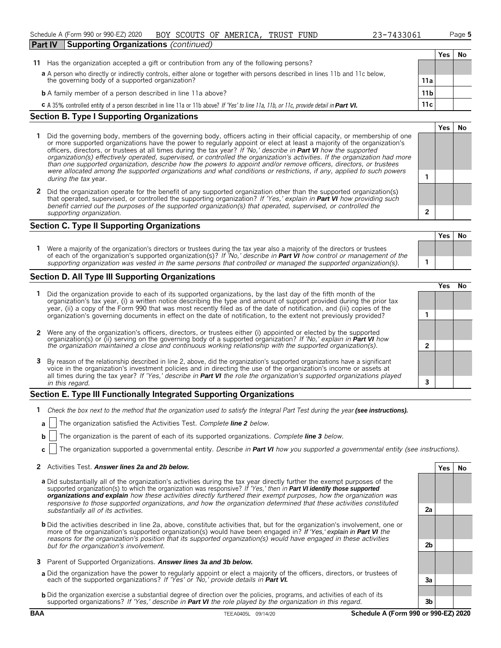**Yes No**

| <b>Supporting Organizations</b> (continued)<br><b>Part IV</b>                                                                           |                                                                                                                             |     |    |
|-----------------------------------------------------------------------------------------------------------------------------------------|-----------------------------------------------------------------------------------------------------------------------------|-----|----|
|                                                                                                                                         |                                                                                                                             | Yes | No |
| Has the organization accepted a gift or contribution from any of the following persons?<br>11                                           |                                                                                                                             |     |    |
|                                                                                                                                         | a A person who directly or indirectly controls, either alone or together with persons described in lines 11b and 11c below, |     |    |
| the governing body of a supported organization?                                                                                         | 11a                                                                                                                         |     |    |
| <b>b</b> A family member of a person described in line 11a above?                                                                       | 11 <sub>b</sub>                                                                                                             |     |    |
| C A 35% controlled entity of a person described in line 11a or 11b above? If 'Yes' to line 11a, 11b, or 11c, provide detail in Part VI. | 11c                                                                                                                         |     |    |

#### **Section B. Type I Supporting Organizations**

- **1** Did the governing body, members of the governing body, officers acting in their official capacity, or membership of one or more supported organizations have the power to regularly appoint or elect at least a majority of the organization's officers, directors, or trustees at all times during the tax year? *If 'No,' describe in Part VI how the supported organization(s) effectively operated, supervised, or controlled the organization's activities. If the organization had more than one supported organization, describe how the powers to appoint and/or remove officers, directors, or trustees were allocated among the supported organizations and what conditions or restrictions, if any, applied to such powers* **1** *during the tax* year.
- **2** Did the organization operate for the benefit of any supported organization other than the supported organization(s) that operated, supervised, or controlled the supporting organization? *If 'Yes,' explain in Part VI how providing such benefit carried out the purposes of the supported organization(s) that operated, supervised, or controlled the supporting organization.* **2**

### **Section C. Type II Supporting Organizations**

**Yes No 1** Were a majority of the organization's directors or trustees during the tax year also a majority of the directors or trustees of each of the organization's supported organization(s)? *If 'No,' describe in Part VI how control or management of the supporting organization was vested in the same persons that controlled or managed the supported organization(s).* **1**

#### **Section D. All Type III Supporting Organizations**

|                                                                                                                                                                                                                                                                                                                                                                                       | res) |  |
|---------------------------------------------------------------------------------------------------------------------------------------------------------------------------------------------------------------------------------------------------------------------------------------------------------------------------------------------------------------------------------------|------|--|
| Did the organization provide to each of its supported organizations, by the last day of the fifth month of the<br>organization's tax year, (i) a written notice describing the type and amount of support provided during the prior tax<br>year, (ii) a copy of the Form 990 that was most recently filed as of the date of notification, and (iii) copies of the                     |      |  |
| organization's governing documents in effect on the date of notification, to the extent not previously provided?                                                                                                                                                                                                                                                                      |      |  |
| 2 Were any of the organization's officers, directors, or trustees either (i) appointed or elected by the supported organization(s) or (ii) serving on the governing body of a supported organization? If 'No,' explain in Part                                                                                                                                                        |      |  |
| the organization maintained a close and continuous working relationship with the supported organization(s).                                                                                                                                                                                                                                                                           |      |  |
| 3 By reason of the relationship described in line 2, above, did the organization's supported organizations have a significant<br>voice in the organization's investment policies and in directing the use of the organization's income or assets at<br>all times during the tax year? If 'Yes,' describe in <b>Part VI</b> the role the organization's supported organizations played |      |  |
| in this regard.                                                                                                                                                                                                                                                                                                                                                                       |      |  |
|                                                                                                                                                                                                                                                                                                                                                                                       |      |  |

#### **Section E. Type III Functionally Integrated Supporting Organizations**

- **1** *Check the box next to the method that the organization used to satisfy the Integral Part Test during the year (see instructions).*
- **a** The organization satisfied the Activities Test. *Complete line 2 below.*
- **b** The organization is the parent of each of its supported organizations. *Complete line 3 below.*
- **c** The organization supported a governmental entity. *Describe in Part VI how you supported a governmental entity (see instructions).*

#### **2** Activities Test. *Answer lines 2a and 2b below.* **Yes No**

- **a** Did substantially all of the organization's activities during the tax year directly further the exempt purposes of the supported organization(s) to which the organization was responsive? *If 'Yes,' then in Part VI identify those supported organizations and explain how these activities directly furthered their exempt purposes, how the organization was responsive to those supported organizations, and how the organization determined that these activities constituted substantially all of its activities.* **2a**
- **b** Did the activities described in line 2a, above, constitute activities that, but for the organization's involvement, one or more of the organization's supported organization(s) would have been engaged in? *If 'Yes,' explain in Part VI the reasons for the organization's position that its supported organization(s) would have engaged in these activities but for the organization's involvement.* **2b**
- **3** Parent of Supported Organizations. *Answer lines 3a and 3b below.*
- **a** Did the organization have the power to regularly appoint or elect a majority of the officers, directors, or trustees of each of the supported organizations? *If 'Yes' or 'No,' provide details in Part VI.* **3a**
- **b** Did the organization exercise a substantial degree of direction over the policies, programs, and activities of each of its supported organizations? *If 'Yes,' describe in Part VI the role played by the organization in this regard.* **3b**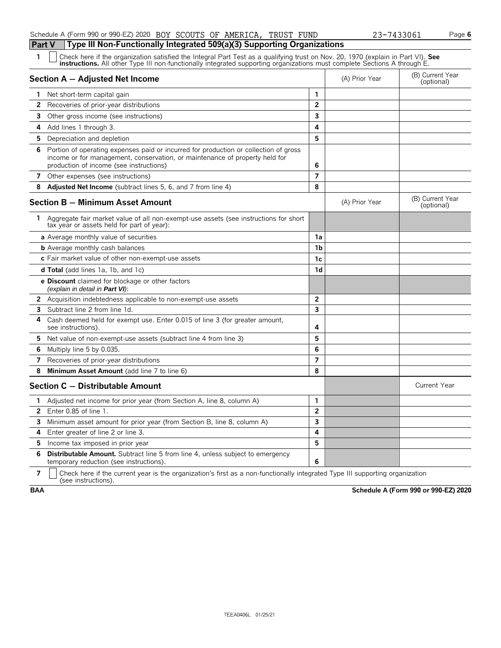### Schedule A (Form 990 or 990-EZ) 2020 BOY SCOUTS OF AMERICA, TRUST FUND 23-7433061 Page **6**

### **Part V Type III Non-Functionally Integrated 509(a)(3) Supporting Organizations**

Check here if the organization satisfied the Integral Part Test as a qualifying trust on Nov. 20, 1970 (explain in Part VI). See instructions. All other Type III non-functionally integrated supporting organizations must co

|              | Section A - Adjusted Net Income                                                                                                                                                                                |                | (A) Prior Year | (B) Current Year<br>(optional) |
|--------------|----------------------------------------------------------------------------------------------------------------------------------------------------------------------------------------------------------------|----------------|----------------|--------------------------------|
|              | Net short-term capital gain                                                                                                                                                                                    | 1              |                |                                |
| 2            | Recoveries of prior-year distributions                                                                                                                                                                         | $\overline{2}$ |                |                                |
| 3            | Other gross income (see instructions)                                                                                                                                                                          | 3              |                |                                |
| 4            | Add lines 1 through 3.                                                                                                                                                                                         | 4              |                |                                |
| 5            | Depreciation and depletion                                                                                                                                                                                     | 5              |                |                                |
| 6            | Portion of operating expenses paid or incurred for production or collection of gross<br>income or for management, conservation, or maintenance of property held for<br>production of income (see instructions) | 6              |                |                                |
| 7            | Other expenses (see instructions)                                                                                                                                                                              | $\overline{7}$ |                |                                |
|              | 8 Adjusted Net Income (subtract lines 5, 6, and 7 from line 4)                                                                                                                                                 | 8              |                |                                |
|              | Section B - Minimum Asset Amount                                                                                                                                                                               |                | (A) Prior Year | (B) Current Year<br>(optional) |
| 1.           | Aggregate fair market value of all non-exempt-use assets (see instructions for short<br>tax year or assets held for part of year):                                                                             |                |                |                                |
|              | <b>a</b> Average monthly value of securities                                                                                                                                                                   | 1a             |                |                                |
|              | <b>b</b> Average monthly cash balances                                                                                                                                                                         | 1 <sub>b</sub> |                |                                |
|              | c Fair market value of other non-exempt-use assets                                                                                                                                                             | 1c             |                |                                |
|              | <b>d Total</b> (add lines 1a, 1b, and 1c)                                                                                                                                                                      | 1d             |                |                                |
|              | <b>e Discount</b> claimed for blockage or other factors<br>(explain in detail in <b>Part VI</b> ):                                                                                                             |                |                |                                |
|              | <b>2</b> Acquisition indebtedness applicable to non-exempt-use assets                                                                                                                                          | $\overline{2}$ |                |                                |
|              | <b>3</b> Subtract line 2 from line 1d.                                                                                                                                                                         | 3              |                |                                |
| 4            | Cash deemed held for exempt use. Enter 0.015 of line 3 (for greater amount,<br>see instructions)                                                                                                               | 4              |                |                                |
| 5.           | Net value of non-exempt-use assets (subtract line 4 from line 3)                                                                                                                                               | 5              |                |                                |
| 6            | Multiply line 5 by 0.035.                                                                                                                                                                                      | 6              |                |                                |
| 7            | Recoveries of prior-year distributions                                                                                                                                                                         | $\overline{7}$ |                |                                |
| 8            | Minimum Asset Amount (add line 7 to line 6)                                                                                                                                                                    | 8              |                |                                |
|              | Section C - Distributable Amount                                                                                                                                                                               |                |                | <b>Current Year</b>            |
| 1            | Adjusted net income for prior year (from Section A, line 8, column A)                                                                                                                                          | $\mathbf{1}$   |                |                                |
| $\mathbf{2}$ | Enter 0.85 of line 1.                                                                                                                                                                                          | $\overline{2}$ |                |                                |
|              | <b>3</b> Minimum asset amount for prior year (from Section B, line 8, column A)                                                                                                                                | 3              |                |                                |
| 4            | Enter greater of line 2 or line 3.                                                                                                                                                                             | 4              |                |                                |
|              | <b>5</b> Income tax imposed in prior year                                                                                                                                                                      | 5              |                |                                |
| 6            | <b>Distributable Amount.</b> Subtract line 5 from line 4, unless subject to emergency<br>temporary reduction (see instructions).                                                                               | 6              |                |                                |

**7**  $\mid$  Check here if the current year is the organization's first as a non-functionally integrated Type III supporting organization (see instructions).

**BAA Schedule A (Form 990 or 990-EZ) 2020**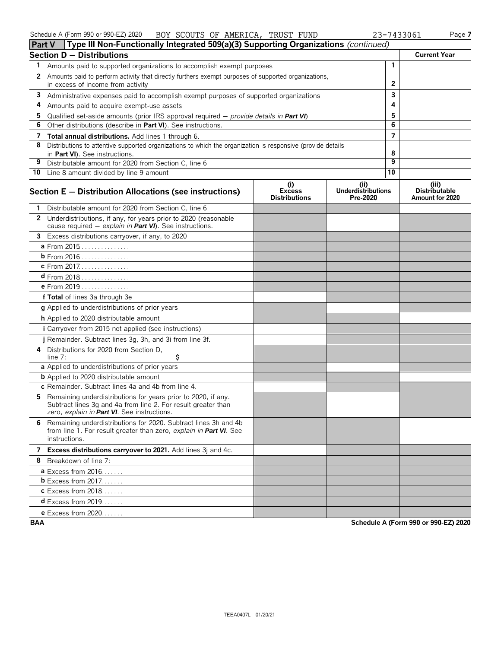|    | Type III Non-Functionally Integrated 509(a)(3) Supporting Organizations (continued)<br><b>Part V</b>                                                                          |                                              |                                               |                |                                                  |
|----|-------------------------------------------------------------------------------------------------------------------------------------------------------------------------------|----------------------------------------------|-----------------------------------------------|----------------|--------------------------------------------------|
|    | <b>Section D - Distributions</b>                                                                                                                                              |                                              |                                               |                | <b>Current Year</b>                              |
| 1. | Amounts paid to supported organizations to accomplish exempt purposes                                                                                                         |                                              |                                               | $\mathbf{1}$   |                                                  |
| 2  | Amounts paid to perform activity that directly furthers exempt purposes of supported organizations,<br>in excess of income from activity                                      |                                              |                                               | $\mathbf{2}$   |                                                  |
| 3  | Administrative expenses paid to accomplish exempt purposes of supported organizations                                                                                         |                                              |                                               | 3              |                                                  |
| 4  | Amounts paid to acquire exempt-use assets                                                                                                                                     |                                              |                                               | 4              |                                                  |
| 5  | Qualified set-aside amounts (prior IRS approval required $-$ provide details in Part VI)                                                                                      |                                              |                                               | 5              |                                                  |
| 6  | Other distributions (describe in Part VI). See instructions.                                                                                                                  |                                              |                                               | 6              |                                                  |
| 7  | Total annual distributions. Add lines 1 through 6.                                                                                                                            |                                              |                                               | $\overline{7}$ |                                                  |
| 8  | Distributions to attentive supported organizations to which the organization is responsive (provide details<br>in Part VI). See instructions.                                 |                                              |                                               | 8              |                                                  |
| 9  | Distributable amount for 2020 from Section C, line 6                                                                                                                          |                                              |                                               | 9              |                                                  |
|    | 10 Line 8 amount divided by line 9 amount                                                                                                                                     |                                              |                                               | 10             |                                                  |
|    | Section E - Distribution Allocations (see instructions)                                                                                                                       | (i)<br><b>Excess</b><br><b>Distributions</b> | (ii)<br><b>Underdistributions</b><br>Pre-2020 |                | (iii)<br><b>Distributable</b><br>Amount for 2020 |
|    | Distributable amount for 2020 from Section C, line 6                                                                                                                          |                                              |                                               |                |                                                  |
|    | 2 Underdistributions, if any, for years prior to 2020 (reasonable<br>cause required - explain in Part VI). See instructions.                                                  |                                              |                                               |                |                                                  |
|    | 3 Excess distributions carryover, if any, to 2020                                                                                                                             |                                              |                                               |                |                                                  |
|    | a From 2015                                                                                                                                                                   |                                              |                                               |                |                                                  |
|    | b From 2016                                                                                                                                                                   |                                              |                                               |                |                                                  |
|    | c From 2017.                                                                                                                                                                  |                                              |                                               |                |                                                  |
|    | $d$ From 2018                                                                                                                                                                 |                                              |                                               |                |                                                  |
|    | e From 2019                                                                                                                                                                   |                                              |                                               |                |                                                  |
|    | f Total of lines 3a through 3e                                                                                                                                                |                                              |                                               |                |                                                  |
|    | g Applied to underdistributions of prior years                                                                                                                                |                                              |                                               |                |                                                  |
|    | h Applied to 2020 distributable amount                                                                                                                                        |                                              |                                               |                |                                                  |
|    | <i>i</i> Carryover from 2015 not applied (see instructions)                                                                                                                   |                                              |                                               |                |                                                  |
|    | j Remainder. Subtract lines 3g, 3h, and 3i from line 3f.                                                                                                                      |                                              |                                               |                |                                                  |
| 4  | Distributions for 2020 from Section D,<br>\$<br>line $7:$                                                                                                                     |                                              |                                               |                |                                                  |
|    | a Applied to underdistributions of prior years                                                                                                                                |                                              |                                               |                |                                                  |
|    | <b>b</b> Applied to 2020 distributable amount                                                                                                                                 |                                              |                                               |                |                                                  |
|    | c Remainder. Subtract lines 4a and 4b from line 4.                                                                                                                            |                                              |                                               |                |                                                  |
| 5. | Remaining underdistributions for years prior to 2020, if any.<br>Subtract lines 3g and 4a from line 2. For result greater than<br>zero, explain in Part VI. See instructions. |                                              |                                               |                |                                                  |
|    | 6 Remaining underdistributions for 2020. Subtract lines 3h and 4b<br>from line 1. For result greater than zero, explain in Part VI. See<br>instructions.                      |                                              |                                               |                |                                                  |
|    | 7 Excess distributions carryover to 2021. Add lines 3j and 4c.                                                                                                                |                                              |                                               |                |                                                  |
|    | 8 Breakdown of line 7:                                                                                                                                                        |                                              |                                               |                |                                                  |
|    | <b>a</b> Excess from $2016$                                                                                                                                                   |                                              |                                               |                |                                                  |
|    | <b>b</b> Excess from 2017.                                                                                                                                                    |                                              |                                               |                |                                                  |
|    | <b>c</b> Excess from 2018                                                                                                                                                     |                                              |                                               |                |                                                  |
|    | <b>d</b> Excess from 2019                                                                                                                                                     |                                              |                                               |                |                                                  |
|    | e Excess from 2020.                                                                                                                                                           |                                              |                                               |                |                                                  |

**BAA Schedule A (Form 990 or 990-EZ) 2020**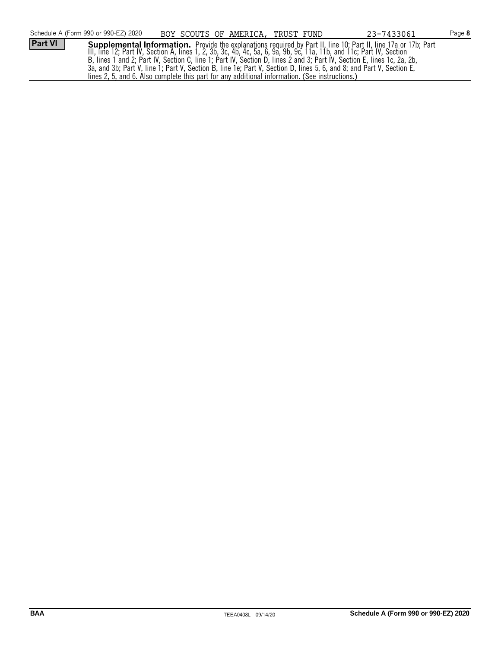|                | Schedule A (Form 990 or 990-EZ) 2020 |  | BOY SCOUTS OF AMERICA, TRUST FUND                                                              | 23-7433061                                                                                                             | Page 8 |
|----------------|--------------------------------------|--|------------------------------------------------------------------------------------------------|------------------------------------------------------------------------------------------------------------------------|--------|
| <b>Part VI</b> |                                      |  |                                                                                                | Supplemental Information. Provide the explanations required by Part II, line 10; Part II, line 17a or 17b; Part        |        |
|                |                                      |  |                                                                                                | III, line 12; Part IV, Section A, lines 1, 2, 3b, 3c, 4b, 4c, 5a, 6, 9a, 9b, 9c, 11a, 11b, and 11c; Part IV, Section   |        |
|                |                                      |  |                                                                                                | B, lines 1 and 2; Part IV, Section C, line 1; Part IV, Section D, lines 2 and 3; Part IV, Section E, lines 1c, 2a, 2b, |        |
|                |                                      |  |                                                                                                | 3a, and 3b; Part V, line 1; Part V, Section B, line 1e; Part V, Section D, lines 5, 6, and 8; and Part V, Section E,   |        |
|                |                                      |  | lines 2, 5, and 6. Also complete this part for any additional information. (See instructions.) |                                                                                                                        |        |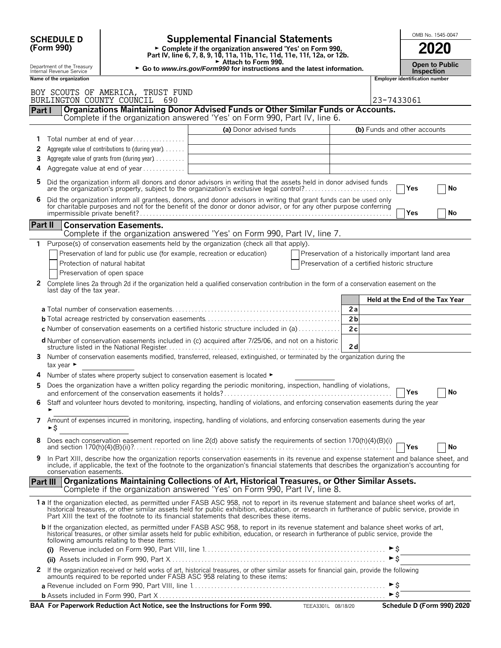| (Form 990)<br>► Complete if the organization answered 'Yes' on Form 990,<br>Part IV, line 6, 7, 8, 9, 10, 11a, 11b, 11c, 11d, 11e, 11f, 12a, or 12b.<br>Attach to Form 990.<br>Department of the Treasury<br>► Go to www.irs.gov/Form990 for instructions and the latest information.<br>Internal Revenue Service<br><b>Employer identification number</b><br>Name of the organization<br>BOY SCOUTS OF AMERICA, TRUST FUND<br>BURLINGTON COUNTY COUNCIL<br>23-7433061<br>-690<br>Organizations Maintaining Donor Advised Funds or Other Similar Funds or Accounts.<br>Part I<br>Complete if the organization answered 'Yes' on Form 990, Part IV, line 6.<br>(a) Donor advised funds<br>(b) Funds and other accounts<br>1<br>Aggregate value of contributions to (during year)<br>2<br>Aggregate value of grants from (during year)<br>3<br>Aggregate value at end of year<br>4<br>Did the organization inform all donors and donor advisors in writing that the assets held in donor advised funds<br>5<br>are the organization's property, subject to the organization's exclusive legal control?<br>Yes<br>Did the organization inform all grantees, donors, and donor advisors in writing that grant funds can be used only<br>6<br>for charitable purposes and not for the benefit of the donor or donor advisor, or for any other purpose conferring | 2020<br><b>Open to Public</b><br><b>Inspection</b><br>No |
|-------------------------------------------------------------------------------------------------------------------------------------------------------------------------------------------------------------------------------------------------------------------------------------------------------------------------------------------------------------------------------------------------------------------------------------------------------------------------------------------------------------------------------------------------------------------------------------------------------------------------------------------------------------------------------------------------------------------------------------------------------------------------------------------------------------------------------------------------------------------------------------------------------------------------------------------------------------------------------------------------------------------------------------------------------------------------------------------------------------------------------------------------------------------------------------------------------------------------------------------------------------------------------------------------------------------------------------------------------------|----------------------------------------------------------|
|                                                                                                                                                                                                                                                                                                                                                                                                                                                                                                                                                                                                                                                                                                                                                                                                                                                                                                                                                                                                                                                                                                                                                                                                                                                                                                                                                             |                                                          |
|                                                                                                                                                                                                                                                                                                                                                                                                                                                                                                                                                                                                                                                                                                                                                                                                                                                                                                                                                                                                                                                                                                                                                                                                                                                                                                                                                             |                                                          |
|                                                                                                                                                                                                                                                                                                                                                                                                                                                                                                                                                                                                                                                                                                                                                                                                                                                                                                                                                                                                                                                                                                                                                                                                                                                                                                                                                             |                                                          |
|                                                                                                                                                                                                                                                                                                                                                                                                                                                                                                                                                                                                                                                                                                                                                                                                                                                                                                                                                                                                                                                                                                                                                                                                                                                                                                                                                             |                                                          |
|                                                                                                                                                                                                                                                                                                                                                                                                                                                                                                                                                                                                                                                                                                                                                                                                                                                                                                                                                                                                                                                                                                                                                                                                                                                                                                                                                             |                                                          |
|                                                                                                                                                                                                                                                                                                                                                                                                                                                                                                                                                                                                                                                                                                                                                                                                                                                                                                                                                                                                                                                                                                                                                                                                                                                                                                                                                             |                                                          |
|                                                                                                                                                                                                                                                                                                                                                                                                                                                                                                                                                                                                                                                                                                                                                                                                                                                                                                                                                                                                                                                                                                                                                                                                                                                                                                                                                             |                                                          |
|                                                                                                                                                                                                                                                                                                                                                                                                                                                                                                                                                                                                                                                                                                                                                                                                                                                                                                                                                                                                                                                                                                                                                                                                                                                                                                                                                             |                                                          |
|                                                                                                                                                                                                                                                                                                                                                                                                                                                                                                                                                                                                                                                                                                                                                                                                                                                                                                                                                                                                                                                                                                                                                                                                                                                                                                                                                             |                                                          |
|                                                                                                                                                                                                                                                                                                                                                                                                                                                                                                                                                                                                                                                                                                                                                                                                                                                                                                                                                                                                                                                                                                                                                                                                                                                                                                                                                             |                                                          |
| Yes                                                                                                                                                                                                                                                                                                                                                                                                                                                                                                                                                                                                                                                                                                                                                                                                                                                                                                                                                                                                                                                                                                                                                                                                                                                                                                                                                         | No                                                       |
| Part II<br><b>Conservation Easements.</b><br>Complete if the organization answered 'Yes' on Form 990, Part IV, line 7.                                                                                                                                                                                                                                                                                                                                                                                                                                                                                                                                                                                                                                                                                                                                                                                                                                                                                                                                                                                                                                                                                                                                                                                                                                      |                                                          |
| Purpose(s) of conservation easements held by the organization (check all that apply).                                                                                                                                                                                                                                                                                                                                                                                                                                                                                                                                                                                                                                                                                                                                                                                                                                                                                                                                                                                                                                                                                                                                                                                                                                                                       |                                                          |
| Preservation of land for public use (for example, recreation or education)<br>Preservation of a historically important land area                                                                                                                                                                                                                                                                                                                                                                                                                                                                                                                                                                                                                                                                                                                                                                                                                                                                                                                                                                                                                                                                                                                                                                                                                            |                                                          |
| Protection of natural habitat<br>Preservation of a certified historic structure                                                                                                                                                                                                                                                                                                                                                                                                                                                                                                                                                                                                                                                                                                                                                                                                                                                                                                                                                                                                                                                                                                                                                                                                                                                                             |                                                          |
| Preservation of open space<br>$\mathbf{2}$<br>Complete lines 2a through 2d if the organization held a qualified conservation contribution in the form of a conservation easement on the<br>last day of the tax year.                                                                                                                                                                                                                                                                                                                                                                                                                                                                                                                                                                                                                                                                                                                                                                                                                                                                                                                                                                                                                                                                                                                                        |                                                          |
| Held at the End of the Tax Year                                                                                                                                                                                                                                                                                                                                                                                                                                                                                                                                                                                                                                                                                                                                                                                                                                                                                                                                                                                                                                                                                                                                                                                                                                                                                                                             |                                                          |
| 2a<br>2 <sub>b</sub>                                                                                                                                                                                                                                                                                                                                                                                                                                                                                                                                                                                                                                                                                                                                                                                                                                                                                                                                                                                                                                                                                                                                                                                                                                                                                                                                        |                                                          |
| <b>c</b> Number of conservation easements on a certified historic structure included in (a) $\dots$<br>2c                                                                                                                                                                                                                                                                                                                                                                                                                                                                                                                                                                                                                                                                                                                                                                                                                                                                                                                                                                                                                                                                                                                                                                                                                                                   |                                                          |
| d Number of conservation easements included in (c) acquired after 7/25/06, and not on a historic<br>2d                                                                                                                                                                                                                                                                                                                                                                                                                                                                                                                                                                                                                                                                                                                                                                                                                                                                                                                                                                                                                                                                                                                                                                                                                                                      |                                                          |
| Number of conservation easements modified, transferred, released, extinguished, or terminated by the organization during the<br>3<br>tax year $\blacktriangleright$                                                                                                                                                                                                                                                                                                                                                                                                                                                                                                                                                                                                                                                                                                                                                                                                                                                                                                                                                                                                                                                                                                                                                                                         |                                                          |
| Number of states where property subject to conservation easement is located ►<br>4                                                                                                                                                                                                                                                                                                                                                                                                                                                                                                                                                                                                                                                                                                                                                                                                                                                                                                                                                                                                                                                                                                                                                                                                                                                                          |                                                          |
| Does the organization have a written policy regarding the periodic monitoring, inspection, handling of violations,<br><b>IYes</b><br>and enforcement of the conservation easements it holds?                                                                                                                                                                                                                                                                                                                                                                                                                                                                                                                                                                                                                                                                                                                                                                                                                                                                                                                                                                                                                                                                                                                                                                | No                                                       |
| Staff and volunteer hours devoted to monitoring, inspecting, handling of violations, and enforcing conservation easements during the year<br>6                                                                                                                                                                                                                                                                                                                                                                                                                                                                                                                                                                                                                                                                                                                                                                                                                                                                                                                                                                                                                                                                                                                                                                                                              |                                                          |
| Amount of expenses incurred in monitoring, inspecting, handling of violations, and enforcing conservation easements during the year<br>7<br>►\$                                                                                                                                                                                                                                                                                                                                                                                                                                                                                                                                                                                                                                                                                                                                                                                                                                                                                                                                                                                                                                                                                                                                                                                                             |                                                          |
| 8<br>Does each conservation easement reported on line 2(d) above satisfy the requirements of section 170(h)(4)(B)(i)<br>Yes                                                                                                                                                                                                                                                                                                                                                                                                                                                                                                                                                                                                                                                                                                                                                                                                                                                                                                                                                                                                                                                                                                                                                                                                                                 | No                                                       |
| In Part XIII, describe how the organization reports conservation easements in its revenue and expense statement and balance sheet, and<br>9<br>include, if applicable, the text of the footnote to the organization's financial statements that describes the organization's accounting for<br>conservation easements.                                                                                                                                                                                                                                                                                                                                                                                                                                                                                                                                                                                                                                                                                                                                                                                                                                                                                                                                                                                                                                      |                                                          |
| Part III   Organizations Maintaining Collections of Art, Historical Treasures, or Other Similar Assets.<br>Complete if the organization answered 'Yes' on Form 990, Part IV, line 8.                                                                                                                                                                                                                                                                                                                                                                                                                                                                                                                                                                                                                                                                                                                                                                                                                                                                                                                                                                                                                                                                                                                                                                        |                                                          |
| 1 a If the organization elected, as permitted under FASB ASC 958, not to report in its revenue statement and balance sheet works of art,<br>historical treasures, or other similar assets held for public exhibition, education, or research in furtherance of public service, provide in<br>Part XIII the text of the footnote to its financial statements that describes these items.                                                                                                                                                                                                                                                                                                                                                                                                                                                                                                                                                                                                                                                                                                                                                                                                                                                                                                                                                                     |                                                          |
| b If the organization elected, as permitted under FASB ASC 958, to report in its revenue statement and balance sheet works of art, historical treasures, or other similar assets held for public exhibition, education, or res<br>following amounts relating to these items:                                                                                                                                                                                                                                                                                                                                                                                                                                                                                                                                                                                                                                                                                                                                                                                                                                                                                                                                                                                                                                                                                |                                                          |
| $\blacktriangleright$ \$                                                                                                                                                                                                                                                                                                                                                                                                                                                                                                                                                                                                                                                                                                                                                                                                                                                                                                                                                                                                                                                                                                                                                                                                                                                                                                                                    |                                                          |
| 2                                                                                                                                                                                                                                                                                                                                                                                                                                                                                                                                                                                                                                                                                                                                                                                                                                                                                                                                                                                                                                                                                                                                                                                                                                                                                                                                                           |                                                          |
| If the organization received or held works of art, historical treasures, or other similar assets for financial gain, provide the following<br>amounts required to be reported under FASB ASC 958 relating to these items:                                                                                                                                                                                                                                                                                                                                                                                                                                                                                                                                                                                                                                                                                                                                                                                                                                                                                                                                                                                                                                                                                                                                   |                                                          |
|                                                                                                                                                                                                                                                                                                                                                                                                                                                                                                                                                                                                                                                                                                                                                                                                                                                                                                                                                                                                                                                                                                                                                                                                                                                                                                                                                             |                                                          |
| BAA For Paperwork Reduction Act Notice, see the Instructions for Form 990. TEEA3301L 08/18/20 Schedule D (Form 990) 2020                                                                                                                                                                                                                                                                                                                                                                                                                                                                                                                                                                                                                                                                                                                                                                                                                                                                                                                                                                                                                                                                                                                                                                                                                                    |                                                          |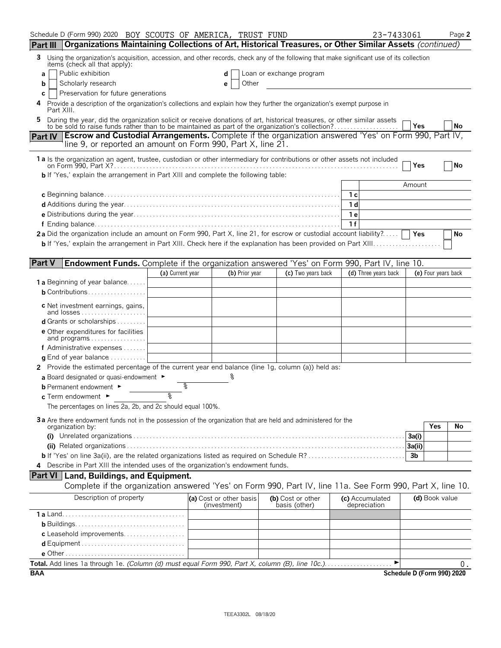| Schedule D (Form 990) 2020 BOY SCOUTS OF AMERICA, TRUST FUND                                                                                                                                                              |                  |                                         |                |                                    | 23-7433061                      |                            | Page 2 |
|---------------------------------------------------------------------------------------------------------------------------------------------------------------------------------------------------------------------------|------------------|-----------------------------------------|----------------|------------------------------------|---------------------------------|----------------------------|--------|
| Organizations Maintaining Collections of Art, Historical Treasures, or Other Similar Assets (continued)<br><b>Part III</b>                                                                                                |                  |                                         |                |                                    |                                 |                            |        |
| Using the organization's acquisition, accession, and other records, check any of the following that make significant use of its collection<br>3<br>items (check all that apply):                                          |                  |                                         |                |                                    |                                 |                            |        |
| Public exhibition<br>a                                                                                                                                                                                                    |                  | d                                       |                | Loan or exchange program           |                                 |                            |        |
| Scholarly research<br>b                                                                                                                                                                                                   |                  | е                                       | Other          |                                    |                                 |                            |        |
| Preservation for future generations<br>С<br>Provide a description of the organization's collections and explain how they further the organization's exempt purpose in<br>4                                                |                  |                                         |                |                                    |                                 |                            |        |
| Part XIII.                                                                                                                                                                                                                |                  |                                         |                |                                    |                                 |                            |        |
| During the year, did the organization solicit or receive donations of art, historical treasures, or other similar assets to be sold to raise funds rather than to be maintained as part of the organization's collection? |                  |                                         |                |                                    |                                 | Yes                        | No     |
| <b>Escrow and Custodial Arrangements.</b> Complete if the organization answered 'Yes' on Form 990, Part IV,<br><b>Part IV</b>                                                                                             |                  |                                         |                |                                    |                                 |                            |        |
| line 9, or reported an amount on Form 990, Part X, line 21.                                                                                                                                                               |                  |                                         |                |                                    |                                 |                            |        |
| 1 a Is the organization an agent, trustee, custodian or other intermediary for contributions or other assets not included                                                                                                 |                  |                                         |                |                                    |                                 | Yes                        | No     |
| <b>b</b> If 'Yes,' explain the arrangement in Part XIII and complete the following table:                                                                                                                                 |                  |                                         |                |                                    |                                 |                            |        |
|                                                                                                                                                                                                                           |                  |                                         |                |                                    |                                 | Amount                     |        |
|                                                                                                                                                                                                                           |                  |                                         |                |                                    | 1 с                             |                            |        |
|                                                                                                                                                                                                                           |                  |                                         |                |                                    | 1 <sub>d</sub><br>1e            |                            |        |
|                                                                                                                                                                                                                           |                  |                                         |                |                                    | 1f                              |                            |        |
| 2a Did the organization include an amount on Form 990, Part X, line 21, for escrow or custodial account liability?                                                                                                        |                  |                                         |                |                                    |                                 | Yes                        | No     |
|                                                                                                                                                                                                                           |                  |                                         |                |                                    |                                 |                            |        |
|                                                                                                                                                                                                                           |                  |                                         |                |                                    |                                 |                            |        |
| <b>Part V</b><br>Endowment Funds. Complete if the organization answered 'Yes' on Form 990, Part IV, line 10.                                                                                                              |                  |                                         |                |                                    |                                 |                            |        |
|                                                                                                                                                                                                                           | (a) Current year |                                         | (b) Prior year | (c) Two years back                 | (d) Three years back            | (e) Four years back        |        |
| <b>1 a</b> Beginning of year balance                                                                                                                                                                                      |                  |                                         |                |                                    |                                 |                            |        |
| <b>b</b> Contributions                                                                                                                                                                                                    |                  |                                         |                |                                    |                                 |                            |        |
| c Net investment earnings, gains,<br>and losses                                                                                                                                                                           |                  |                                         |                |                                    |                                 |                            |        |
| d Grants or scholarships                                                                                                                                                                                                  |                  |                                         |                |                                    |                                 |                            |        |
| <b>e</b> Other expenditures for facilities<br>and programs $\ldots \ldots \ldots \ldots \ldots$                                                                                                                           |                  |                                         |                |                                    |                                 |                            |        |
| <b>f</b> Administrative expenses $\dots$                                                                                                                                                                                  |                  |                                         |                |                                    |                                 |                            |        |
| <b>q</b> End of year balance $\dots\dots\dots\dots$                                                                                                                                                                       |                  |                                         |                |                                    |                                 |                            |        |
| 2 Provide the estimated percentage of the current year end balance (line 1g, column (a)) held as:                                                                                                                         |                  |                                         |                |                                    |                                 |                            |        |
| a Board designated or quasi-endowment $\blacktriangleright$                                                                                                                                                               |                  |                                         |                |                                    |                                 |                            |        |
| <b>b</b> Permanent endowment ►                                                                                                                                                                                            |                  |                                         |                |                                    |                                 |                            |        |
| c Term endowment ►                                                                                                                                                                                                        | ত্               |                                         |                |                                    |                                 |                            |        |
| The percentages on lines 2a, 2b, and 2c should equal 100%.                                                                                                                                                                |                  |                                         |                |                                    |                                 |                            |        |
| 3a Are there endowment funds not in the possession of the organization that are held and administered for the<br>organization by:                                                                                         |                  |                                         |                |                                    |                                 | <b>Yes</b>                 | No     |
|                                                                                                                                                                                                                           |                  |                                         |                |                                    |                                 | 3a(i)                      |        |
|                                                                                                                                                                                                                           |                  |                                         |                |                                    |                                 | 3a(ii)                     |        |
| <b>b</b> If 'Yes' on line 3a(ii), are the related organizations listed as required on Schedule R?                                                                                                                         |                  |                                         |                |                                    |                                 | 3 <sub>b</sub>             |        |
| 4 Describe in Part XIII the intended uses of the organization's endowment funds.                                                                                                                                          |                  |                                         |                |                                    |                                 |                            |        |
| <b>Part VI   Land, Buildings, and Equipment.</b>                                                                                                                                                                          |                  |                                         |                |                                    |                                 |                            |        |
| Complete if the organization answered 'Yes' on Form 990, Part IV, line 11a. See Form 990, Part X, line 10.                                                                                                                |                  |                                         |                |                                    |                                 |                            |        |
| Description of property                                                                                                                                                                                                   |                  | (a) Cost or other basis<br>(investment) |                | (b) Cost or other<br>basis (other) | (c) Accumulated<br>depreciation | (d) Book value             |        |
|                                                                                                                                                                                                                           |                  |                                         |                |                                    |                                 |                            |        |
|                                                                                                                                                                                                                           |                  |                                         |                |                                    |                                 |                            |        |
| c Leasehold improvements                                                                                                                                                                                                  |                  |                                         |                |                                    |                                 |                            |        |
|                                                                                                                                                                                                                           |                  |                                         |                |                                    |                                 |                            |        |
| Total. Add lines 1a through 1e. (Column (d) must equal Form 990, Part X, column (B), line 10c.)                                                                                                                           |                  |                                         |                |                                    | ►                               |                            |        |
| <b>BAA</b>                                                                                                                                                                                                                |                  |                                         |                |                                    |                                 | Schedule D (Form 990) 2020 | 0.     |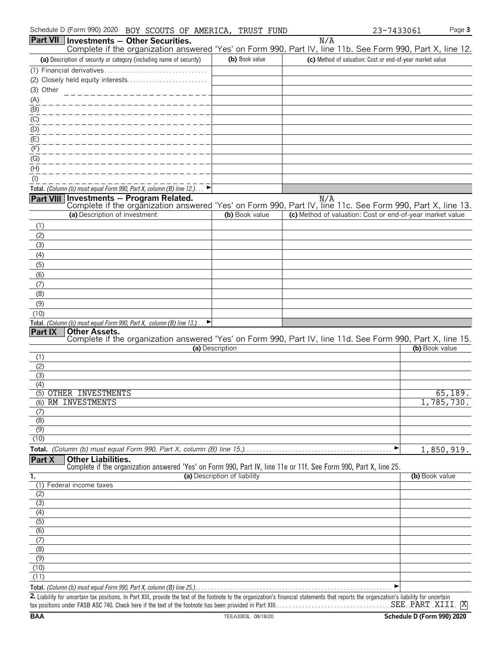|                           |                               | Part VII   Investments - Other Securities.                                   |                              | N/A                                                                                                               |                |
|---------------------------|-------------------------------|------------------------------------------------------------------------------|------------------------------|-------------------------------------------------------------------------------------------------------------------|----------------|
|                           |                               |                                                                              |                              | Complete if the organization answered 'Yes' on Form 990, Part IV, line 11b. See Form 990, Part X, line 12.        |                |
|                           |                               | (a) Description of security or category (including name of security)         | (b) Book value               | (c) Method of valuation: Cost or end-of-year market value                                                         |                |
|                           |                               |                                                                              |                              |                                                                                                                   |                |
|                           |                               |                                                                              |                              |                                                                                                                   |                |
| (3) Other                 |                               |                                                                              |                              |                                                                                                                   |                |
| (A)<br>(B)                |                               | __________________                                                           |                              |                                                                                                                   |                |
|                           |                               | _____________                                                                |                              |                                                                                                                   |                |
| (C)<br>(D)                |                               | -----------------                                                            |                              |                                                                                                                   |                |
| (E)                       |                               | $- - - - - - - - - - - -$                                                    |                              |                                                                                                                   |                |
| (F)                       |                               | _ _ _ _ _ _ _ _ _ _ _ _ _ _ _                                                |                              |                                                                                                                   |                |
| (G)                       |                               | ____________                                                                 |                              |                                                                                                                   |                |
| $\overline{(\mathsf{H})}$ |                               |                                                                              |                              |                                                                                                                   |                |
| $($ l $)$                 |                               |                                                                              |                              |                                                                                                                   |                |
|                           |                               | Total. (Column (b) must equal Form 990, Part X, column (B) line 12.). $\Box$ |                              |                                                                                                                   |                |
|                           |                               | Part VIII Investments - Program Related.                                     |                              | N/A<br>Complete if the organization answered 'Yes' on Form 990, Part IV, line 11c. See Form 990, Part X, line 13. |                |
|                           | (a) Description of investment |                                                                              | (b) Book value               | (c) Method of valuation: Cost or end-of-year market value                                                         |                |
| (1)                       |                               |                                                                              |                              |                                                                                                                   |                |
| (2)                       |                               |                                                                              |                              |                                                                                                                   |                |
| (3)                       |                               |                                                                              |                              |                                                                                                                   |                |
| (4)                       |                               |                                                                              |                              |                                                                                                                   |                |
| (5)                       |                               |                                                                              |                              |                                                                                                                   |                |
| (6)                       |                               |                                                                              |                              |                                                                                                                   |                |
| (7)                       |                               |                                                                              |                              |                                                                                                                   |                |
| (8)                       |                               |                                                                              |                              |                                                                                                                   |                |
| (9)<br>(10)               |                               |                                                                              |                              |                                                                                                                   |                |
|                           |                               | Total. (Column (b) must equal Form 990, Part X, column (B) line 13.).        |                              |                                                                                                                   |                |
| Part IX                   | Other Assets.                 |                                                                              |                              |                                                                                                                   |                |
|                           |                               |                                                                              |                              | Complete if the organization answered 'Yes' on Form 990, Part IV, line 11d. See Form 990, Part X, line 15.        |                |
|                           |                               |                                                                              | (a) Description              |                                                                                                                   | (b) Book value |
| (1)<br>(2)                |                               |                                                                              |                              |                                                                                                                   |                |
| (3)                       |                               |                                                                              |                              |                                                                                                                   |                |
| (4)                       |                               |                                                                              |                              |                                                                                                                   |                |
|                           | (5) OTHER INVESTMENTS         |                                                                              |                              |                                                                                                                   | 65, 189.       |
|                           | (6) RM INVESTMENTS            |                                                                              |                              |                                                                                                                   | 1,785,730.     |
| (7)                       |                               |                                                                              |                              |                                                                                                                   |                |
| (8)                       |                               |                                                                              |                              |                                                                                                                   |                |
| (9)<br>(10)               |                               |                                                                              |                              |                                                                                                                   |                |
|                           |                               |                                                                              |                              | ▶                                                                                                                 | 1,850,919.     |
| Part X                    | <b>Other Liabilities.</b>     |                                                                              |                              |                                                                                                                   |                |
|                           |                               |                                                                              |                              | Complete if the organization answered 'Yes' on Form 990, Part IV, line 11e or 11f. See Form 990, Part X, line 25. |                |
| 1.                        |                               |                                                                              | (a) Description of liability |                                                                                                                   | (b) Book value |
|                           | (1) Federal income taxes      |                                                                              |                              |                                                                                                                   |                |
| (2)                       |                               |                                                                              |                              |                                                                                                                   |                |
| $\overline{3}$<br>(4)     |                               |                                                                              |                              |                                                                                                                   |                |
| (5)                       |                               |                                                                              |                              |                                                                                                                   |                |
| (6)                       |                               |                                                                              |                              |                                                                                                                   |                |
| (7)                       |                               |                                                                              |                              |                                                                                                                   |                |
| (8)                       |                               |                                                                              |                              |                                                                                                                   |                |
| (9)                       |                               |                                                                              |                              |                                                                                                                   |                |
| (10)                      |                               |                                                                              |                              |                                                                                                                   |                |
| (11)                      |                               |                                                                              |                              |                                                                                                                   |                |
|                           |                               |                                                                              |                              |                                                                                                                   |                |

**2.** Liability for uncertain tax positions. In Part XIII, provide the text of the footnote to the organization's financial statements that reports the organization's liability for uncertain tax positions under FASB ASC 740. Check here if the text of the footnote has been provided in Part XIII. . . . . . . . . . . . . . . . . . . . . . . . . . . . . . . . . . . . . . . . . . . . . . . . . . . . . . . . SEE PART XIIIX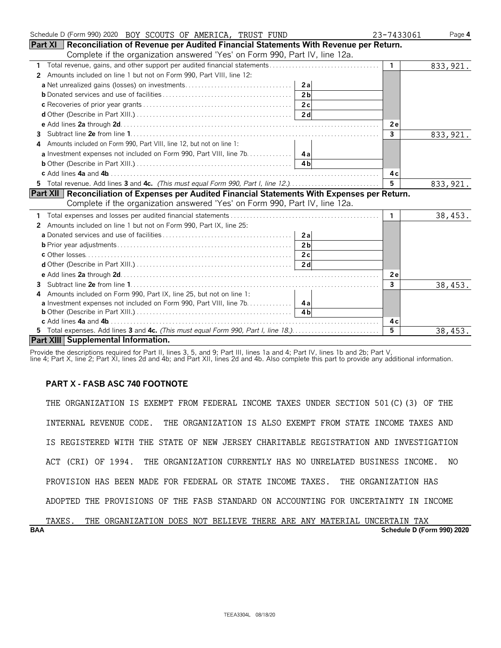| Schedule D (Form 990) 2020 BOY SCOUTS OF AMERICA, TRUST FUND                                     | 23-7433061   | Page 4    |
|--------------------------------------------------------------------------------------------------|--------------|-----------|
| Part XI   Reconciliation of Revenue per Audited Financial Statements With Revenue per Return.    |              |           |
| Complete if the organization answered 'Yes' on Form 990, Part IV, line 12a.                      |              |           |
| $\mathbf{1}$                                                                                     | $\mathbf{1}$ | 833, 921. |
| Amounts included on line 1 but not on Form 990, Part VIII, line 12:<br>2                         |              |           |
| 2a                                                                                               |              |           |
| 2 <sub>b</sub>                                                                                   |              |           |
|                                                                                                  |              |           |
|                                                                                                  |              |           |
|                                                                                                  | <b>2e</b>    |           |
| 3                                                                                                | $\mathbf{3}$ | 833, 921. |
| Amounts included on Form 990, Part VIII, line 12, but not on line 1:                             |              |           |
|                                                                                                  |              |           |
| 4 <sub>h</sub>                                                                                   |              |           |
|                                                                                                  | 4 c          |           |
| 5 Total revenue. Add lines 3 and 4c. (This must equal Form 990, Part I, line 12.)                | 5            | 833, 921. |
| Part XII   Reconciliation of Expenses per Audited Financial Statements With Expenses per Return. |              |           |
| Complete if the organization answered 'Yes' on Form 990, Part IV, line 12a.                      |              |           |
|                                                                                                  | $\mathbf{1}$ | 38,453.   |
| Amounts included on line 1 but not on Form 990, Part IX, line 25:<br>$\mathbf{2}$                |              |           |
| 2al                                                                                              |              |           |
| 2 <sub>h</sub>                                                                                   |              |           |
|                                                                                                  |              |           |
|                                                                                                  |              |           |
|                                                                                                  | 2e           |           |
| 3                                                                                                | 3            |           |
| Amounts included on Form 990, Part IX, line 25, but not on line 1:<br>4                          |              | 38,453.   |
| <b>a</b> Investment expenses not included on Form 990, Part VIII, line 7b. 4a                    |              |           |
|                                                                                                  |              |           |
|                                                                                                  | 4 c          |           |
| 5 Total expenses. Add lines 3 and 4c. (This must equal Form 990, Part I, line 18.)               | 5            | 38,453.   |
| Part XIII Supplemental Information.                                                              |              |           |

Provide the descriptions required for Part II, lines 3, 5, and 9; Part III, lines 1a and 4; Part IV, lines 1b and 2b; Part V,

#### line 4; Part X, line 2; Part XI, lines 2d and 4b; and Part XII, lines 2d and 4b. Also complete this part to provide any additional information.

# **PART X - FASB ASC 740 FOOTNOTE**

THE ORGANIZATION IS EXEMPT FROM FEDERAL INCOME TAXES UNDER SECTION 501(C)(3) OF THE INTERNAL REVENUE CODE. THE ORGANIZATION IS ALSO EXEMPT FROM STATE INCOME TAXES AND IS REGISTERED WITH THE STATE OF NEW JERSEY CHARITABLE REGISTRATION AND INVESTIGATION ACT (CRI) OF 1994. THE ORGANIZATION CURRENTLY HAS NO UNRELATED BUSINESS INCOME. NO PROVISION HAS BEEN MADE FOR FEDERAL OR STATE INCOME TAXES. THE ORGANIZATION HAS ADOPTED THE PROVISIONS OF THE FASB STANDARD ON ACCOUNTING FOR UNCERTAINTY IN INCOME

| <b>BAA</b> |       |     |                                                                    |  |  |  |  | Schedule D (Form 990) 2020 |  |
|------------|-------|-----|--------------------------------------------------------------------|--|--|--|--|----------------------------|--|
|            | TAXES | THE | ORGANIZATION DOES NOT BELIEVE THERE ARE ANY MATERIAL UNCERTAIN TAX |  |  |  |  |                            |  |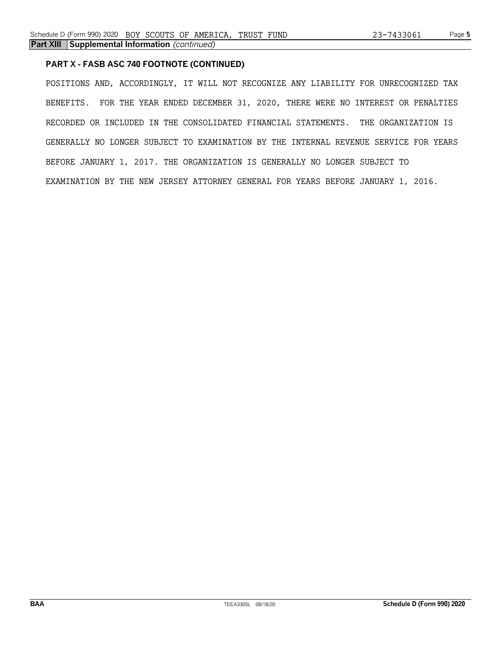# **PART X - FASB ASC 740 FOOTNOTE (CONTINUED)**

POSITIONS AND, ACCORDINGLY, IT WILL NOT RECOGNIZE ANY LIABILITY FOR UNRECOGNIZED TAX BENEFITS. FOR THE YEAR ENDED DECEMBER 31, 2020, THERE WERE NO INTEREST OR PENALTIES RECORDED OR INCLUDED IN THE CONSOLIDATED FINANCIAL STATEMENTS. THE ORGANIZATION IS GENERALLY NO LONGER SUBJECT TO EXAMINATION BY THE INTERNAL REVENUE SERVICE FOR YEARS BEFORE JANUARY 1, 2017. THE ORGANIZATION IS GENERALLY NO LONGER SUBJECT TO EXAMINATION BY THE NEW JERSEY ATTORNEY GENERAL FOR YEARS BEFORE JANUARY 1, 2016.